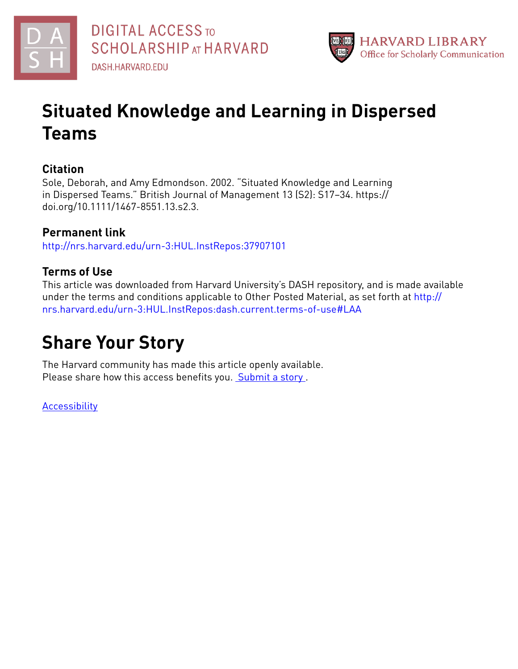



# **Situated Knowledge and Learning in Dispersed Teams**

## **Citation**

Sole, Deborah, and Amy Edmondson. 2002. "Situated Knowledge and Learning in Dispersed Teams." British Journal of Management 13 (S2): S17–34. https:// doi.org/10.1111/1467-8551.13.s2.3.

# **Permanent link**

<http://nrs.harvard.edu/urn-3:HUL.InstRepos:37907101>

## **Terms of Use**

This article was downloaded from Harvard University's DASH repository, and is made available under the terms and conditions applicable to Other Posted Material, as set forth at [http://](http://nrs.harvard.edu/urn-3:HUL.InstRepos:dash.current.terms-of-use#LAA) [nrs.harvard.edu/urn-3:HUL.InstRepos:dash.current.terms-of-use#LAA](http://nrs.harvard.edu/urn-3:HUL.InstRepos:dash.current.terms-of-use#LAA)

# **Share Your Story**

The Harvard community has made this article openly available. Please share how this access benefits you. [Submit](http://osc.hul.harvard.edu/dash/open-access-feedback?handle=&title=Situated%20Knowledge%20and%20Learning%20in%20Dispersed%20Teams&community=1/3345929&collection=1/3345930&owningCollection1/3345930&harvardAuthors=01d9a5f49394e8e91e30203805c1a2ff&department) a story.

[Accessibility](https://dash.harvard.edu/pages/accessibility)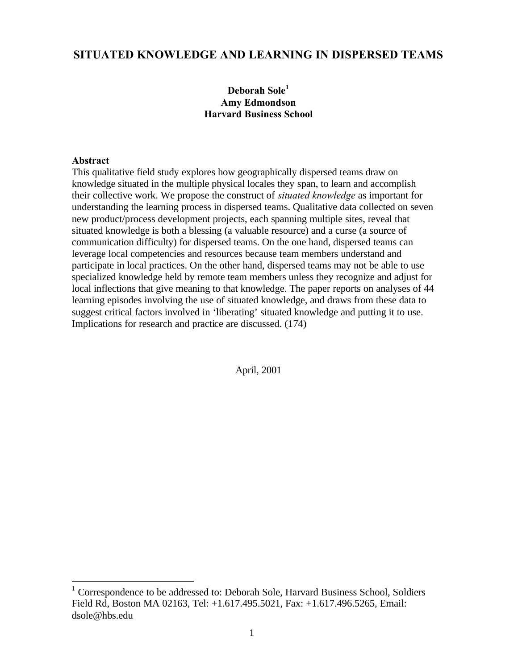## **SITUATED KNOWLEDGE AND LEARNING IN DISPERSED TEAMS**

### **Deborah Sole<sup>1</sup> Amy Edmondson Harvard Business School**

#### **Abstract**

This qualitative field study explores how geographically dispersed teams draw on knowledge situated in the multiple physical locales they span, to learn and accomplish their collective work. We propose the construct of *situated knowledge* as important for understanding the learning process in dispersed teams. Qualitative data collected on seven new product/process development projects, each spanning multiple sites, reveal that situated knowledge is both a blessing (a valuable resource) and a curse (a source of communication difficulty) for dispersed teams. On the one hand, dispersed teams can leverage local competencies and resources because team members understand and participate in local practices. On the other hand, dispersed teams may not be able to use specialized knowledge held by remote team members unless they recognize and adjust for local inflections that give meaning to that knowledge. The paper reports on analyses of 44 learning episodes involving the use of situated knowledge, and draws from these data to suggest critical factors involved in 'liberating' situated knowledge and putting it to use. Implications for research and practice are discussed. (174)

April, 2001

 1 Correspondence to be addressed to: Deborah Sole, Harvard Business School, Soldiers Field Rd, Boston MA 02163, Tel: +1.617.495.5021, Fax: +1.617.496.5265, Email: dsole@hbs.edu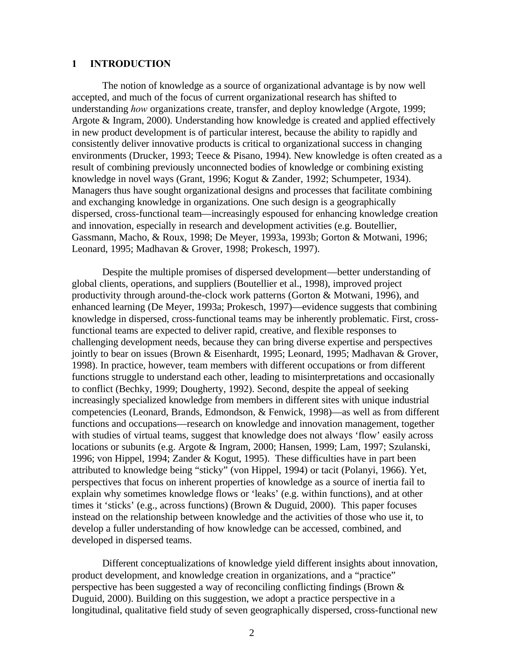#### **1 INTRODUCTION**

The notion of knowledge as a source of organizational advantage is by now well accepted, and much of the focus of current organizational research has shifted to understanding *how* organizations create, transfer, and deploy knowledge (Argote, 1999; Argote & Ingram, 2000). Understanding how knowledge is created and applied effectively in new product development is of particular interest, because the ability to rapidly and consistently deliver innovative products is critical to organizational success in changing environments (Drucker, 1993; Teece & Pisano, 1994). New knowledge is often created as a result of combining previously unconnected bodies of knowledge or combining existing knowledge in novel ways (Grant, 1996; Kogut & Zander, 1992; Schumpeter, 1934). Managers thus have sought organizational designs and processes that facilitate combining and exchanging knowledge in organizations. One such design is a geographically dispersed, cross-functional team—increasingly espoused for enhancing knowledge creation and innovation, especially in research and development activities (e.g. Boutellier, Gassmann, Macho, & Roux, 1998; De Meyer, 1993a, 1993b; Gorton & Motwani, 1996; Leonard, 1995; Madhavan & Grover, 1998; Prokesch, 1997).

Despite the multiple promises of dispersed development—better understanding of global clients, operations, and suppliers (Boutellier et al., 1998), improved project productivity through around-the-clock work patterns (Gorton & Motwani, 1996), and enhanced learning (De Meyer, 1993a; Prokesch, 1997)—evidence suggests that combining knowledge in dispersed, cross-functional teams may be inherently problematic. First, crossfunctional teams are expected to deliver rapid, creative, and flexible responses to challenging development needs, because they can bring diverse expertise and perspectives jointly to bear on issues (Brown & Eisenhardt, 1995; Leonard, 1995; Madhavan & Grover, 1998). In practice, however, team members with different occupations or from different functions struggle to understand each other, leading to misinterpretations and occasionally to conflict (Bechky, 1999; Dougherty, 1992). Second, despite the appeal of seeking increasingly specialized knowledge from members in different sites with unique industrial competencies (Leonard, Brands, Edmondson, & Fenwick, 1998)—as well as from different functions and occupations—research on knowledge and innovation management, together with studies of virtual teams, suggest that knowledge does not always 'flow' easily across locations or subunits (e.g. Argote & Ingram, 2000; Hansen, 1999; Lam, 1997; Szulanski, 1996; von Hippel, 1994; Zander & Kogut, 1995). These difficulties have in part been attributed to knowledge being "sticky" (von Hippel, 1994) or tacit (Polanyi, 1966). Yet, perspectives that focus on inherent properties of knowledge as a source of inertia fail to explain why sometimes knowledge flows or 'leaks' (e.g. within functions), and at other times it 'sticks' (e.g., across functions) (Brown & Duguid, 2000). This paper focuses instead on the relationship between knowledge and the activities of those who use it, to develop a fuller understanding of how knowledge can be accessed, combined, and developed in dispersed teams.

Different conceptualizations of knowledge yield different insights about innovation, product development, and knowledge creation in organizations, and a "practice" perspective has been suggested a way of reconciling conflicting findings (Brown & Duguid, 2000). Building on this suggestion, we adopt a practice perspective in a longitudinal, qualitative field study of seven geographically dispersed, cross-functional new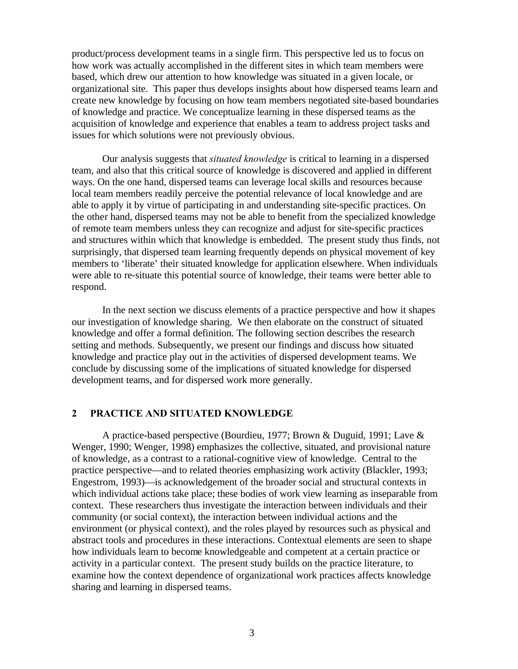product/process development teams in a single firm. This perspective led us to focus on how work was actually accomplished in the different sites in which team members were based, which drew our attention to how knowledge was situated in a given locale, or organizational site. This paper thus develops insights about how dispersed teams learn and create new knowledge by focusing on how team members negotiated site-based boundaries of knowledge and practice. We conceptualize learning in these dispersed teams as the acquisition of knowledge and experience that enables a team to address project tasks and issues for which solutions were not previously obvious.

Our analysis suggests that *situated knowledge* is critical to learning in a dispersed team, and also that this critical source of knowledge is discovered and applied in different ways. On the one hand, dispersed teams can leverage local skills and resources because local team members readily perceive the potential relevance of local knowledge and are able to apply it by virtue of participating in and understanding site-specific practices. On the other hand, dispersed teams may not be able to benefit from the specialized knowledge of remote team members unless they can recognize and adjust for site-specific practices and structures within which that knowledge is embedded. The present study thus finds, not surprisingly, that dispersed team learning frequently depends on physical movement of key members to 'liberate' their situated knowledge for application elsewhere. When individuals were able to re-situate this potential source of knowledge, their teams were better able to respond.

In the next section we discuss elements of a practice perspective and how it shapes our investigation of knowledge sharing. We then elaborate on the construct of situated knowledge and offer a formal definition. The following section describes the research setting and methods. Subsequently, we present our findings and discuss how situated knowledge and practice play out in the activities of dispersed development teams. We conclude by discussing some of the implications of situated knowledge for dispersed development teams, and for dispersed work more generally.

#### **2 PRACTICE AND SITUATED KNOWLEDGE**

A practice-based perspective (Bourdieu, 1977; Brown & Duguid, 1991; Lave & Wenger, 1990; Wenger, 1998) emphasizes the collective, situated, and provisional nature of knowledge, as a contrast to a rational-cognitive view of knowledge. Central to the practice perspective—and to related theories emphasizing work activity (Blackler, 1993; Engestrom, 1993)—is acknowledgement of the broader social and structural contexts in which individual actions take place; these bodies of work view learning as inseparable from context. These researchers thus investigate the interaction between individuals and their community (or social context), the interaction between individual actions and the environment (or physical context), and the roles played by resources such as physical and abstract tools and procedures in these interactions. Contextual elements are seen to shape how individuals learn to become knowledgeable and competent at a certain practice or activity in a particular context. The present study builds on the practice literature, to examine how the context dependence of organizational work practices affects knowledge sharing and learning in dispersed teams.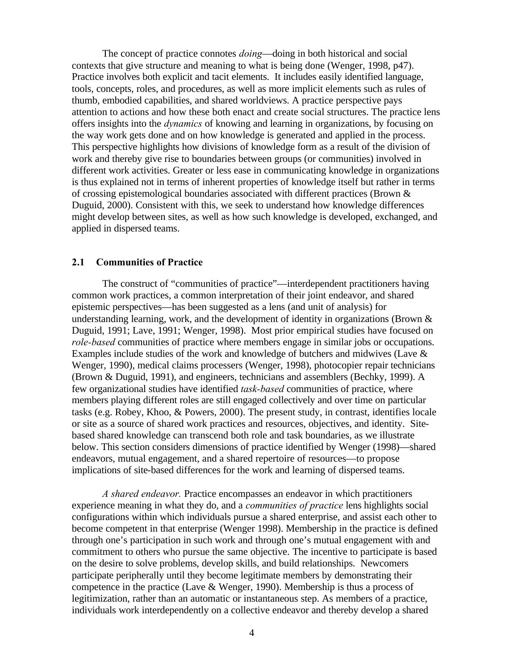The concept of practice connotes *doing*—doing in both historical and social contexts that give structure and meaning to what is being done (Wenger, 1998, p47). Practice involves both explicit and tacit elements. It includes easily identified language, tools, concepts, roles, and procedures, as well as more implicit elements such as rules of thumb, embodied capabilities, and shared worldviews. A practice perspective pays attention to actions and how these both enact and create social structures. The practice lens offers insights into the *dynamics* of knowing and learning in organizations, by focusing on the way work gets done and on how knowledge is generated and applied in the process. This perspective highlights how divisions of knowledge form as a result of the division of work and thereby give rise to boundaries between groups (or communities) involved in different work activities. Greater or less ease in communicating knowledge in organizations is thus explained not in terms of inherent properties of knowledge itself but rather in terms of crossing epistemological boundaries associated with different practices (Brown & Duguid, 2000). Consistent with this, we seek to understand how knowledge differences might develop between sites, as well as how such knowledge is developed, exchanged, and applied in dispersed teams.

#### **2.1 Communities of Practice**

The construct of "communities of practice"—interdependent practitioners having common work practices, a common interpretation of their joint endeavor, and shared epistemic perspectives—has been suggested as a lens (and unit of analysis) for understanding learning, work, and the development of identity in organizations (Brown  $\&$ Duguid, 1991; Lave, 1991; Wenger, 1998). Most prior empirical studies have focused on *role-based* communities of practice where members engage in similar jobs or occupations. Examples include studies of the work and knowledge of butchers and midwives (Lave & Wenger, 1990), medical claims processers (Wenger, 1998), photocopier repair technicians (Brown & Duguid, 1991), and engineers, technicians and assemblers (Bechky, 1999). A few organizational studies have identified *task-based* communities of practice, where members playing different roles are still engaged collectively and over time on particular tasks (e.g. Robey, Khoo, & Powers, 2000). The present study, in contrast, identifies locale or site as a source of shared work practices and resources, objectives, and identity. Sitebased shared knowledge can transcend both role and task boundaries, as we illustrate below. This section considers dimensions of practice identified by Wenger (1998)—shared endeavors, mutual engagement, and a shared repertoire of resources—to propose implications of site-based differences for the work and learning of dispersed teams.

*A shared endeavor.* Practice encompasses an endeavor in which practitioners experience meaning in what they do, and a *communities of practice* lens highlights social configurations within which individuals pursue a shared enterprise, and assist each other to become competent in that enterprise (Wenger 1998). Membership in the practice is defined through one's participation in such work and through one's mutual engagement with and commitment to others who pursue the same objective. The incentive to participate is based on the desire to solve problems, develop skills, and build relationships. Newcomers participate peripherally until they become legitimate members by demonstrating their competence in the practice (Lave & Wenger, 1990). Membership is thus a process of legitimization, rather than an automatic or instantaneous step. As members of a practice, individuals work interdependently on a collective endeavor and thereby develop a shared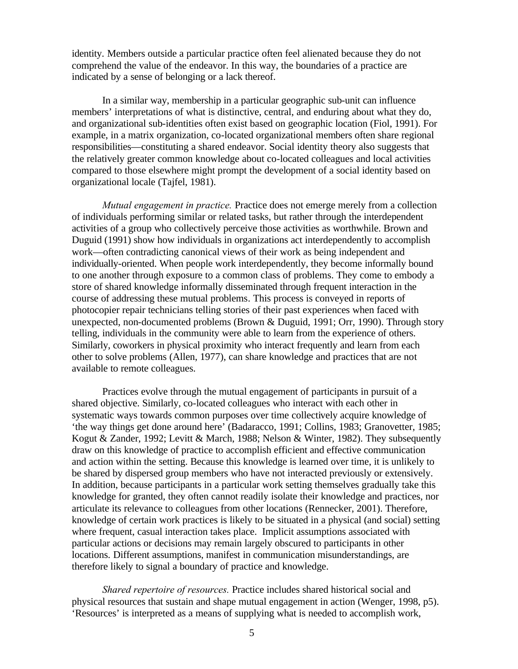identity. Members outside a particular practice often feel alienated because they do not comprehend the value of the endeavor. In this way, the boundaries of a practice are indicated by a sense of belonging or a lack thereof.

In a similar way, membership in a particular geographic sub-unit can influence members' interpretations of what is distinctive, central, and enduring about what they do, and organizational sub-identities often exist based on geographic location (Fiol, 1991). For example, in a matrix organization, co-located organizational members often share regional responsibilities—constituting a shared endeavor. Social identity theory also suggests that the relatively greater common knowledge about co-located colleagues and local activities compared to those elsewhere might prompt the development of a social identity based on organizational locale (Tajfel, 1981).

*Mutual engagement in practice.* Practice does not emerge merely from a collection of individuals performing similar or related tasks, but rather through the interdependent activities of a group who collectively perceive those activities as worthwhile. Brown and Duguid (1991) show how individuals in organizations act interdependently to accomplish work—often contradicting canonical views of their work as being independent and individually-oriented. When people work interdependently, they become informally bound to one another through exposure to a common class of problems. They come to embody a store of shared knowledge informally disseminated through frequent interaction in the course of addressing these mutual problems. This process is conveyed in reports of photocopier repair technicians telling stories of their past experiences when faced with unexpected, non-documented problems (Brown & Duguid, 1991; Orr, 1990). Through story telling, individuals in the community were able to learn from the experience of others. Similarly, coworkers in physical proximity who interact frequently and learn from each other to solve problems (Allen, 1977), can share knowledge and practices that are not available to remote colleagues.

Practices evolve through the mutual engagement of participants in pursuit of a shared objective. Similarly, co-located colleagues who interact with each other in systematic ways towards common purposes over time collectively acquire knowledge of 'the way things get done around here' (Badaracco, 1991; Collins, 1983; Granovetter, 1985; Kogut & Zander, 1992; Levitt & March, 1988; Nelson & Winter, 1982). They subsequently draw on this knowledge of practice to accomplish efficient and effective communication and action within the setting. Because this knowledge is learned over time, it is unlikely to be shared by dispersed group members who have not interacted previously or extensively. In addition, because participants in a particular work setting themselves gradually take this knowledge for granted, they often cannot readily isolate their knowledge and practices, nor articulate its relevance to colleagues from other locations (Rennecker, 2001). Therefore, knowledge of certain work practices is likely to be situated in a physical (and social) setting where frequent, casual interaction takes place. Implicit assumptions associated with particular actions or decisions may remain largely obscured to participants in other locations. Different assumptions, manifest in communication misunderstandings, are therefore likely to signal a boundary of practice and knowledge.

*Shared repertoire of resources.* Practice includes shared historical social and physical resources that sustain and shape mutual engagement in action (Wenger, 1998, p5). 'Resources' is interpreted as a means of supplying what is needed to accomplish work,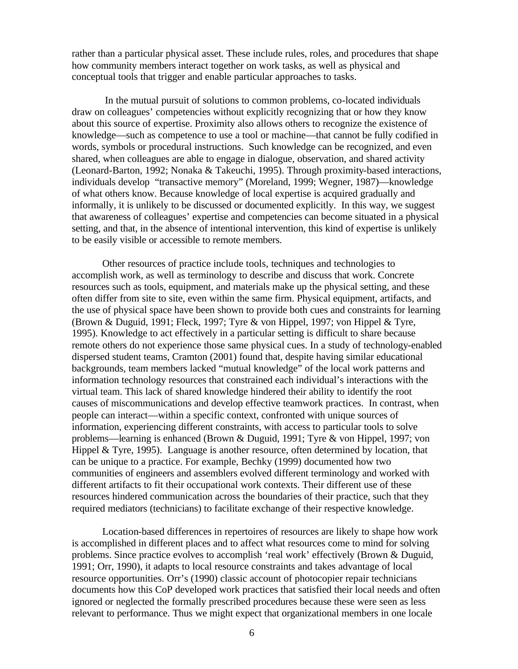rather than a particular physical asset. These include rules, roles, and procedures that shape how community members interact together on work tasks, as well as physical and conceptual tools that trigger and enable particular approaches to tasks.

 In the mutual pursuit of solutions to common problems, co-located individuals draw on colleagues' competencies without explicitly recognizing that or how they know about this source of expertise. Proximity also allows others to recognize the existence of knowledge—such as competence to use a tool or machine—that cannot be fully codified in words, symbols or procedural instructions. Such knowledge can be recognized, and even shared, when colleagues are able to engage in dialogue, observation, and shared activity (Leonard-Barton, 1992; Nonaka & Takeuchi, 1995). Through proximity-based interactions, individuals develop "transactive memory" (Moreland, 1999; Wegner, 1987)—knowledge of what others know. Because knowledge of local expertise is acquired gradually and informally, it is unlikely to be discussed or documented explicitly. In this way, we suggest that awareness of colleagues' expertise and competencies can become situated in a physical setting, and that, in the absence of intentional intervention, this kind of expertise is unlikely to be easily visible or accessible to remote members.

Other resources of practice include tools, techniques and technologies to accomplish work, as well as terminology to describe and discuss that work. Concrete resources such as tools, equipment, and materials make up the physical setting, and these often differ from site to site, even within the same firm. Physical equipment, artifacts, and the use of physical space have been shown to provide both cues and constraints for learning (Brown & Duguid, 1991; Fleck, 1997; Tyre & von Hippel, 1997; von Hippel & Tyre, 1995). Knowledge to act effectively in a particular setting is difficult to share because remote others do not experience those same physical cues. In a study of technology-enabled dispersed student teams, Cramton (2001) found that, despite having similar educational backgrounds, team members lacked "mutual knowledge" of the local work patterns and information technology resources that constrained each individual's interactions with the virtual team. This lack of shared knowledge hindered their ability to identify the root causes of miscommunications and develop effective teamwork practices. In contrast, when people can interact—within a specific context, confronted with unique sources of information, experiencing different constraints, with access to particular tools to solve problems—learning is enhanced (Brown & Duguid, 1991; Tyre & von Hippel, 1997; von Hippel & Tyre, 1995). Language is another resource, often determined by location, that can be unique to a practice. For example, Bechky (1999) documented how two communities of engineers and assemblers evolved different terminology and worked with different artifacts to fit their occupational work contexts. Their different use of these resources hindered communication across the boundaries of their practice, such that they required mediators (technicians) to facilitate exchange of their respective knowledge.

Location-based differences in repertoires of resources are likely to shape how work is accomplished in different places and to affect what resources come to mind for solving problems. Since practice evolves to accomplish 'real work' effectively (Brown & Duguid, 1991; Orr, 1990), it adapts to local resource constraints and takes advantage of local resource opportunities. Orr's (1990) classic account of photocopier repair technicians documents how this CoP developed work practices that satisfied their local needs and often ignored or neglected the formally prescribed procedures because these were seen as less relevant to performance. Thus we might expect that organizational members in one locale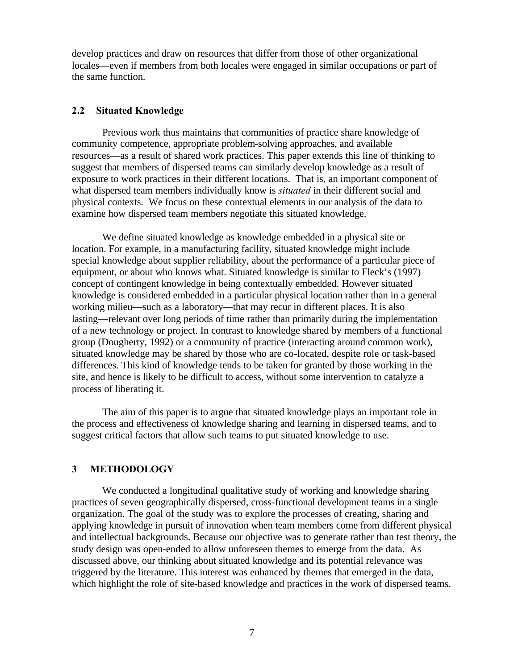develop practices and draw on resources that differ from those of other organizational locales—even if members from both locales were engaged in similar occupations or part of the same function.

#### **2.2 Situated Knowledge**

Previous work thus maintains that communities of practice share knowledge of community competence, appropriate problem-solving approaches, and available resources—as a result of shared work practices. This paper extends this line of thinking to suggest that members of dispersed teams can similarly develop knowledge as a result of exposure to work practices in their different locations. That is, an important component of what dispersed team members individually know is *situated* in their different social and physical contexts. We focus on these contextual elements in our analysis of the data to examine how dispersed team members negotiate this situated knowledge.

We define situated knowledge as knowledge embedded in a physical site or location. For example, in a manufacturing facility, situated knowledge might include special knowledge about supplier reliability, about the performance of a particular piece of equipment, or about who knows what. Situated knowledge is similar to Fleck's (1997) concept of contingent knowledge in being contextually embedded. However situated knowledge is considered embedded in a particular physical location rather than in a general working milieu—such as a laboratory—that may recur in different places. It is also lasting—relevant over long periods of time rather than primarily during the implementation of a new technology or project. In contrast to knowledge shared by members of a functional group (Dougherty, 1992) or a community of practice (interacting around common work), situated knowledge may be shared by those who are co-located, despite role or task-based differences. This kind of knowledge tends to be taken for granted by those working in the site, and hence is likely to be difficult to access, without some intervention to catalyze a process of liberating it.

The aim of this paper is to argue that situated knowledge plays an important role in the process and effectiveness of knowledge sharing and learning in dispersed teams, and to suggest critical factors that allow such teams to put situated knowledge to use.

#### **3 METHODOLOGY**

We conducted a longitudinal qualitative study of working and knowledge sharing practices of seven geographically dispersed, cross-functional development teams in a single organization. The goal of the study was to explore the processes of creating, sharing and applying knowledge in pursuit of innovation when team members come from different physical and intellectual backgrounds. Because our objective was to generate rather than test theory, the study design was open-ended to allow unforeseen themes to emerge from the data. As discussed above, our thinking about situated knowledge and its potential relevance was triggered by the literature. This interest was enhanced by themes that emerged in the data, which highlight the role of site-based knowledge and practices in the work of dispersed teams.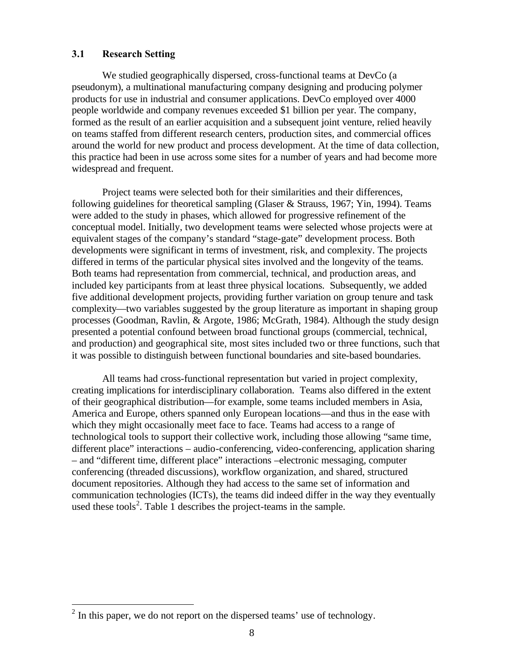#### **3.1 Research Setting**

We studied geographically dispersed, cross-functional teams at DevCo (a pseudonym), a multinational manufacturing company designing and producing polymer products for use in industrial and consumer applications. DevCo employed over 4000 people worldwide and company revenues exceeded \$1 billion per year. The company, formed as the result of an earlier acquisition and a subsequent joint venture, relied heavily on teams staffed from different research centers, production sites, and commercial offices around the world for new product and process development. At the time of data collection, this practice had been in use across some sites for a number of years and had become more widespread and frequent.

Project teams were selected both for their similarities and their differences, following guidelines for theoretical sampling (Glaser & Strauss, 1967; Yin, 1994). Teams were added to the study in phases, which allowed for progressive refinement of the conceptual model. Initially, two development teams were selected whose projects were at equivalent stages of the company's standard "stage-gate" development process. Both developments were significant in terms of investment, risk, and complexity. The projects differed in terms of the particular physical sites involved and the longevity of the teams. Both teams had representation from commercial, technical, and production areas, and included key participants from at least three physical locations. Subsequently, we added five additional development projects, providing further variation on group tenure and task complexity—two variables suggested by the group literature as important in shaping group processes (Goodman, Ravlin, & Argote, 1986; McGrath, 1984). Although the study design presented a potential confound between broad functional groups (commercial, technical, and production) and geographical site, most sites included two or three functions, such that it was possible to distinguish between functional boundaries and site-based boundaries.

All teams had cross-functional representation but varied in project complexity, creating implications for interdisciplinary collaboration. Teams also differed in the extent of their geographical distribution—for example, some teams included members in Asia, America and Europe, others spanned only European locations—and thus in the ease with which they might occasionally meet face to face. Teams had access to a range of technological tools to support their collective work, including those allowing "same time, different place" interactions – audio-conferencing, video-conferencing, application sharing – and "different time, different place" interactions –electronic messaging, computer conferencing (threaded discussions), workflow organization, and shared, structured document repositories. Although they had access to the same set of information and communication technologies (ICTs), the teams did indeed differ in the way they eventually used these tools<sup>2</sup>. Table 1 describes the project-teams in the sample.

<u>.</u>

 $2$  In this paper, we do not report on the dispersed teams' use of technology.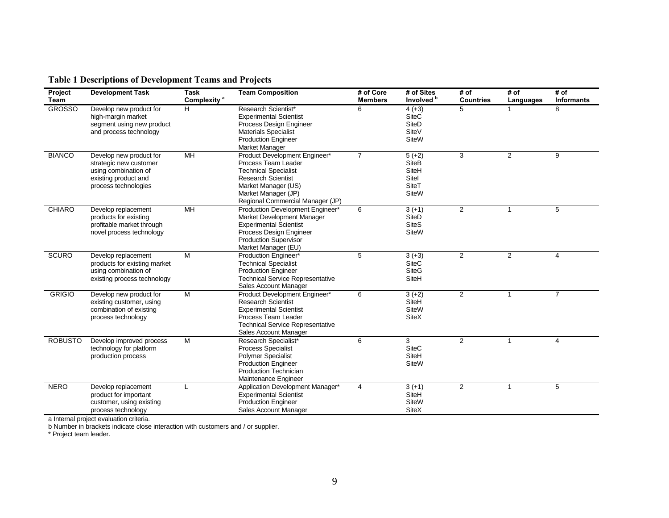| Project<br>Team | <b>Development Task</b>                                                                                                   | <b>Task</b><br>Complexity <sup>a</sup> | <b>Team Composition</b>                                                                                                                                                                            | # of Core<br><b>Members</b> | # of Sites<br>Involved <sup>b</sup>                                 | # of<br><b>Countries</b> | # of<br>Languages | # of<br><b>Informants</b> |
|-----------------|---------------------------------------------------------------------------------------------------------------------------|----------------------------------------|----------------------------------------------------------------------------------------------------------------------------------------------------------------------------------------------------|-----------------------------|---------------------------------------------------------------------|--------------------------|-------------------|---------------------------|
| <b>GROSSO</b>   | Develop new product for<br>high-margin market<br>segment using new product<br>and process technology                      | H.                                     | Research Scientist*<br><b>Experimental Scientist</b><br>Process Design Engineer<br><b>Materials Specialist</b><br><b>Production Engineer</b><br><b>Market Manager</b>                              | 6                           | $4 (+3)$<br><b>SiteC</b><br>SiteD<br>SiteV<br><b>SiteW</b>          | 5                        |                   | 8                         |
| <b>BIANCO</b>   | Develop new product for<br>strategic new customer<br>using combination of<br>existing product and<br>process technologies | MH                                     | Product Development Engineer*<br>Process Team Leader<br><b>Technical Specialist</b><br><b>Research Scientist</b><br>Market Manager (US)<br>Market Manager (JP)<br>Regional Commercial Manager (JP) | $\overline{7}$              | $5 (+2)$<br><b>SiteB</b><br>SiteH<br>Sitel<br>SiteT<br><b>SiteW</b> | 3                        | $\overline{2}$    | 9                         |
| <b>CHIARO</b>   | Develop replacement<br>products for existing<br>profitable market through<br>novel process technology                     | MH                                     | Production Development Engineer*<br>Market Development Manager<br><b>Experimental Scientist</b><br>Process Design Engineer<br><b>Production Supervisor</b><br>Market Manager (EU)                  | 6                           | $3 (+1)$<br>SiteD<br><b>SiteS</b><br><b>SiteW</b>                   | $\overline{2}$           | 1                 | 5                         |
| <b>SCURO</b>    | Develop replacement<br>products for existing market<br>using combination of<br>existing process technology                | M                                      | Production Engineer*<br><b>Technical Specialist</b><br><b>Production Engineer</b><br><b>Technical Service Representative</b><br>Sales Account Manager                                              | 5                           | $3 (+3)$<br><b>SiteC</b><br><b>SiteG</b><br>SiteH                   | 2                        | 2                 | $\overline{\mathbf{4}}$   |
| <b>GRIGIO</b>   | Develop new product for<br>existing customer, using<br>combination of existing<br>process technology                      | M                                      | Product Development Engineer*<br><b>Research Scientist</b><br><b>Experimental Scientist</b><br>Process Team Leader<br><b>Technical Service Representative</b><br>Sales Account Manager             | 6                           | $3 (+2)$<br>SiteH<br><b>SiteW</b><br><b>SiteX</b>                   | $\overline{2}$           | $\mathbf{1}$      | $\overline{7}$            |
| <b>ROBUSTO</b>  | Develop improved process<br>technology for platform<br>production process                                                 | М                                      | Research Specialist*<br>Process Specialist<br><b>Polymer Specialist</b><br><b>Production Engineer</b><br><b>Production Technician</b><br>Maintenance Engineer                                      | 6                           | 3<br><b>SiteC</b><br>SiteH<br><b>SiteW</b>                          | $\overline{2}$           | -1                | 4                         |
| <b>NERO</b>     | Develop replacement<br>product for important<br>customer, using existing<br>process technology                            | L                                      | Application Development Manager*<br><b>Experimental Scientist</b><br><b>Production Engineer</b><br>Sales Account Manager                                                                           | 4                           | $3 (+1)$<br>SiteH<br><b>SiteW</b><br><b>SiteX</b>                   | $\overline{2}$           | $\mathbf{1}$      | 5                         |

### **Table 1 Descriptions of Development Teams and Projects**

a Internal project evaluation criteria.

b Number in brackets indicate close interaction with customers and / or supplier.

\* Project team leader.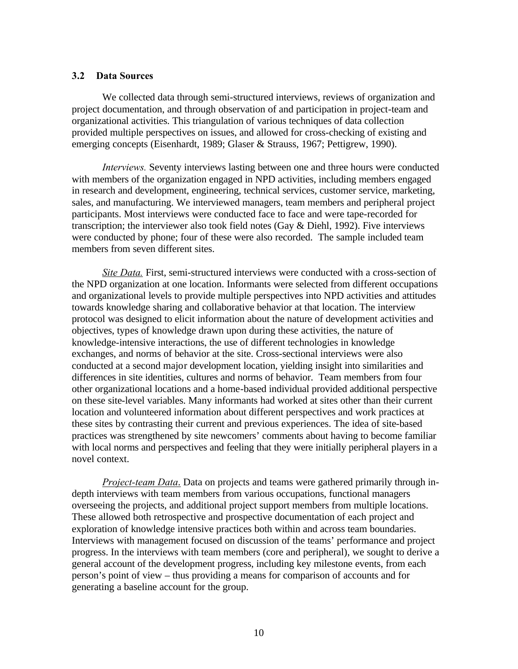#### **3.2 Data Sources**

We collected data through semi-structured interviews, reviews of organization and project documentation, and through observation of and participation in project-team and organizational activities. This triangulation of various techniques of data collection provided multiple perspectives on issues, and allowed for cross-checking of existing and emerging concepts (Eisenhardt, 1989; Glaser & Strauss, 1967; Pettigrew, 1990).

*Interviews.* Seventy interviews lasting between one and three hours were conducted with members of the organization engaged in NPD activities, including members engaged in research and development, engineering, technical services, customer service, marketing, sales, and manufacturing. We interviewed managers, team members and peripheral project participants. Most interviews were conducted face to face and were tape-recorded for transcription; the interviewer also took field notes (Gay & Diehl, 1992). Five interviews were conducted by phone; four of these were also recorded. The sample included team members from seven different sites.

*Site Data.* First, semi-structured interviews were conducted with a cross-section of the NPD organization at one location. Informants were selected from different occupations and organizational levels to provide multiple perspectives into NPD activities and attitudes towards knowledge sharing and collaborative behavior at that location. The interview protocol was designed to elicit information about the nature of development activities and objectives, types of knowledge drawn upon during these activities, the nature of knowledge-intensive interactions, the use of different technologies in knowledge exchanges, and norms of behavior at the site. Cross-sectional interviews were also conducted at a second major development location, yielding insight into similarities and differences in site identities, cultures and norms of behavior. Team members from four other organizational locations and a home-based individual provided additional perspective on these site-level variables. Many informants had worked at sites other than their current location and volunteered information about different perspectives and work practices at these sites by contrasting their current and previous experiences. The idea of site-based practices was strengthened by site newcomers' comments about having to become familiar with local norms and perspectives and feeling that they were initially peripheral players in a novel context.

*Project-team Data*. Data on projects and teams were gathered primarily through indepth interviews with team members from various occupations, functional managers overseeing the projects, and additional project support members from multiple locations. These allowed both retrospective and prospective documentation of each project and exploration of knowledge intensive practices both within and across team boundaries. Interviews with management focused on discussion of the teams' performance and project progress. In the interviews with team members (core and peripheral), we sought to derive a general account of the development progress, including key milestone events, from each person's point of view – thus providing a means for comparison of accounts and for generating a baseline account for the group.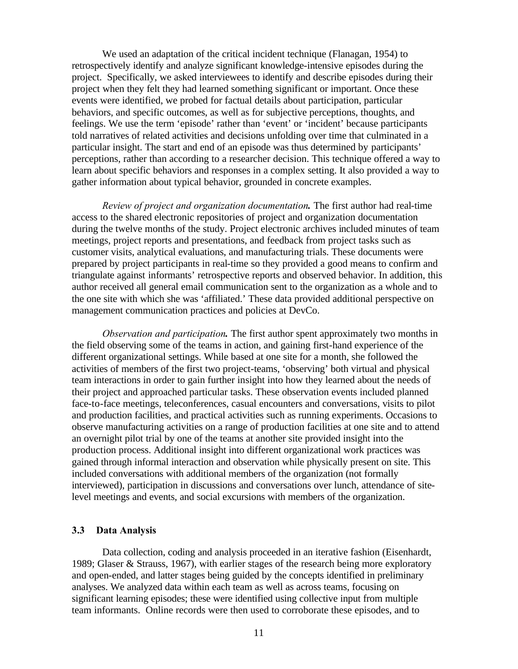We used an adaptation of the critical incident technique (Flanagan, 1954) to retrospectively identify and analyze significant knowledge-intensive episodes during the project. Specifically, we asked interviewees to identify and describe episodes during their project when they felt they had learned something significant or important. Once these events were identified, we probed for factual details about participation, particular behaviors, and specific outcomes, as well as for subjective perceptions, thoughts, and feelings. We use the term 'episode' rather than 'event' or 'incident' because participants told narratives of related activities and decisions unfolding over time that culminated in a particular insight. The start and end of an episode was thus determined by participants' perceptions, rather than according to a researcher decision. This technique offered a way to learn about specific behaviors and responses in a complex setting. It also provided a way to gather information about typical behavior, grounded in concrete examples.

*Review of project and organization documentation.* The first author had real-time access to the shared electronic repositories of project and organization documentation during the twelve months of the study. Project electronic archives included minutes of team meetings, project reports and presentations, and feedback from project tasks such as customer visits, analytical evaluations, and manufacturing trials. These documents were prepared by project participants in real-time so they provided a good means to confirm and triangulate against informants' retrospective reports and observed behavior. In addition, this author received all general email communication sent to the organization as a whole and to the one site with which she was 'affiliated.' These data provided additional perspective on management communication practices and policies at DevCo.

*Observation and participation.* The first author spent approximately two months in the field observing some of the teams in action, and gaining first-hand experience of the different organizational settings. While based at one site for a month, she followed the activities of members of the first two project-teams, 'observing' both virtual and physical team interactions in order to gain further insight into how they learned about the needs of their project and approached particular tasks. These observation events included planned face-to-face meetings, teleconferences, casual encounters and conversations, visits to pilot and production facilities, and practical activities such as running experiments. Occasions to observe manufacturing activities on a range of production facilities at one site and to attend an overnight pilot trial by one of the teams at another site provided insight into the production process. Additional insight into different organizational work practices was gained through informal interaction and observation while physically present on site. This included conversations with additional members of the organization (not formally interviewed), participation in discussions and conversations over lunch, attendance of sitelevel meetings and events, and social excursions with members of the organization.

#### **3.3 Data Analysis**

Data collection, coding and analysis proceeded in an iterative fashion (Eisenhardt, 1989; Glaser & Strauss, 1967), with earlier stages of the research being more exploratory and open-ended, and latter stages being guided by the concepts identified in preliminary analyses. We analyzed data within each team as well as across teams, focusing on significant learning episodes; these were identified using collective input from multiple team informants. Online records were then used to corroborate these episodes, and to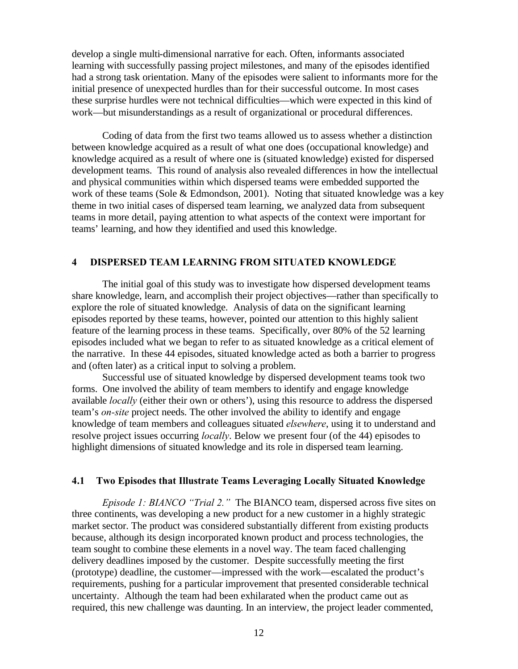develop a single multi-dimensional narrative for each. Often, informants associated learning with successfully passing project milestones, and many of the episodes identified had a strong task orientation. Many of the episodes were salient to informants more for the initial presence of unexpected hurdles than for their successful outcome. In most cases these surprise hurdles were not technical difficulties—which were expected in this kind of work—but misunderstandings as a result of organizational or procedural differences.

Coding of data from the first two teams allowed us to assess whether a distinction between knowledge acquired as a result of what one does (occupational knowledge) and knowledge acquired as a result of where one is (situated knowledge) existed for dispersed development teams. This round of analysis also revealed differences in how the intellectual and physical communities within which dispersed teams were embedded supported the work of these teams (Sole & Edmondson, 2001). Noting that situated knowledge was a key theme in two initial cases of dispersed team learning, we analyzed data from subsequent teams in more detail, paying attention to what aspects of the context were important for teams' learning, and how they identified and used this knowledge.

#### **4 DISPERSED TEAM LEARNING FROM SITUATED KNOWLEDGE**

The initial goal of this study was to investigate how dispersed development teams share knowledge, learn, and accomplish their project objectives—rather than specifically to explore the role of situated knowledge. Analysis of data on the significant learning episodes reported by these teams, however, pointed our attention to this highly salient feature of the learning process in these teams. Specifically, over 80% of the 52 learning episodes included what we began to refer to as situated knowledge as a critical element of the narrative. In these 44 episodes, situated knowledge acted as both a barrier to progress and (often later) as a critical input to solving a problem.

Successful use of situated knowledge by dispersed development teams took two forms. One involved the ability of team members to identify and engage knowledge available *locally* (either their own or others'), using this resource to address the dispersed team's *on-site* project needs. The other involved the ability to identify and engage knowledge of team members and colleagues situated *elsewhere*, using it to understand and resolve project issues occurring *locally*. Below we present four (of the 44) episodes to highlight dimensions of situated knowledge and its role in dispersed team learning.

#### **4.1 Two Episodes that Illustrate Teams Leveraging Locally Situated Knowledge**

*Episode 1: BIANCO "Trial 2."* The BIANCO team, dispersed across five sites on three continents, was developing a new product for a new customer in a highly strategic market sector. The product was considered substantially different from existing products because, although its design incorporated known product and process technologies, the team sought to combine these elements in a novel way. The team faced challenging delivery deadlines imposed by the customer. Despite successfully meeting the first (prototype) deadline, the customer—impressed with the work—escalated the product's requirements, pushing for a particular improvement that presented considerable technical uncertainty. Although the team had been exhilarated when the product came out as required, this new challenge was daunting. In an interview, the project leader commented,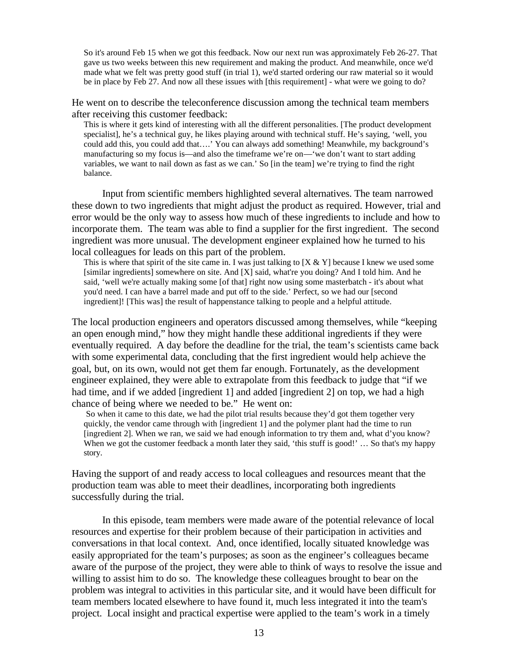So it's around Feb 15 when we got this feedback. Now our next run was approximately Feb 26-27. That gave us two weeks between this new requirement and making the product. And meanwhile, once we'd made what we felt was pretty good stuff (in trial 1), we'd started ordering our raw material so it would be in place by Feb 27. And now all these issues with [this requirement] - what were we going to do?

He went on to describe the teleconference discussion among the technical team members after receiving this customer feedback:

This is where it gets kind of interesting with all the different personalities. [The product development specialist], he's a technical guy, he likes playing around with technical stuff. He's saying, 'well, you could add this, you could add that….' You can always add something! Meanwhile, my background's manufacturing so my focus is—and also the timeframe we're on—'we don't want to start adding variables, we want to nail down as fast as we can.' So [in the team] we're trying to find the right balance.

Input from scientific members highlighted several alternatives. The team narrowed these down to two ingredients that might adjust the product as required. However, trial and error would be the only way to assess how much of these ingredients to include and how to incorporate them. The team was able to find a supplier for the first ingredient. The second ingredient was more unusual. The development engineer explained how he turned to his local colleagues for leads on this part of the problem.

This is where that spirit of the site came in. I was just talking to  $[X \& Y]$  because I knew we used some [similar ingredients] somewhere on site. And [X] said, what're you doing? And I told him. And he said, 'well we're actually making some [of that] right now using some masterbatch - it's about what you'd need. I can have a barrel made and put off to the side.' Perfect, so we had our [second ingredient]! [This was] the result of happenstance talking to people and a helpful attitude.

The local production engineers and operators discussed among themselves, while "keeping an open enough mind," how they might handle these additional ingredients if they were eventually required. A day before the deadline for the trial, the team's scientists came back with some experimental data, concluding that the first ingredient would help achieve the goal, but, on its own, would not get them far enough. Fortunately, as the development engineer explained, they were able to extrapolate from this feedback to judge that "if we had time, and if we added [ingredient 1] and added [ingredient 2] on top, we had a high chance of being where we needed to be." He went on:

 So when it came to this date, we had the pilot trial results because they'd got them together very quickly, the vendor came through with [ingredient 1] and the polymer plant had the time to run [ingredient 2]. When we ran, we said we had enough information to try them and, what d'you know? When we got the customer feedback a month later they said, 'this stuff is good!' ... So that's my happy story.

Having the support of and ready access to local colleagues and resources meant that the production team was able to meet their deadlines, incorporating both ingredients successfully during the trial.

In this episode, team members were made aware of the potential relevance of local resources and expertise for their problem because of their participation in activities and conversations in that local context. And, once identified, locally situated knowledge was easily appropriated for the team's purposes; as soon as the engineer's colleagues became aware of the purpose of the project, they were able to think of ways to resolve the issue and willing to assist him to do so. The knowledge these colleagues brought to bear on the problem was integral to activities in this particular site, and it would have been difficult for team members located elsewhere to have found it, much less integrated it into the team's project. Local insight and practical expertise were applied to the team's work in a timely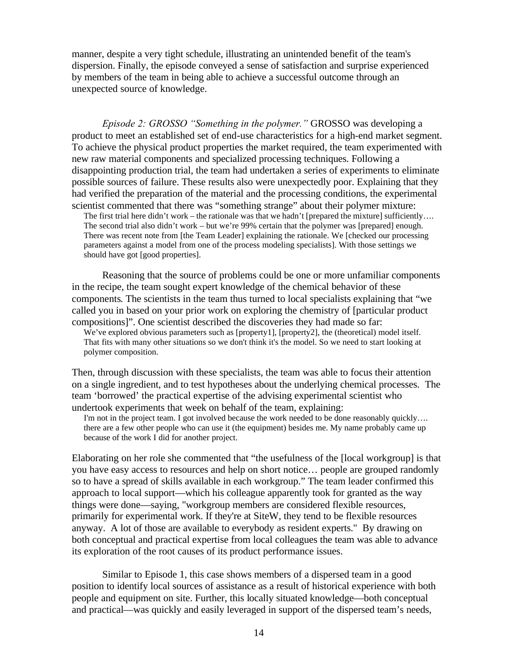manner, despite a very tight schedule, illustrating an unintended benefit of the team's dispersion. Finally, the episode conveyed a sense of satisfaction and surprise experienced by members of the team in being able to achieve a successful outcome through an unexpected source of knowledge.

*Episode 2: GROSSO "Something in the polymer."* GROSSO was developing a product to meet an established set of end-use characteristics for a high-end market segment. To achieve the physical product properties the market required, the team experimented with new raw material components and specialized processing techniques. Following a disappointing production trial, the team had undertaken a series of experiments to eliminate possible sources of failure. These results also were unexpectedly poor. Explaining that they had verified the preparation of the material and the processing conditions, the experimental scientist commented that there was "something strange" about their polymer mixture:

The first trial here didn't work – the rationale was that we hadn't [prepared the mixture] sufficiently.... The second trial also didn't work – but we're 99% certain that the polymer was [prepared] enough. There was recent note from [the Team Leader] explaining the rationale. We [checked our processing parameters against a model from one of the process modeling specialists]. With those settings we should have got [good properties].

Reasoning that the source of problems could be one or more unfamiliar components in the recipe, the team sought expert knowledge of the chemical behavior of these components. The scientists in the team thus turned to local specialists explaining that "we called you in based on your prior work on exploring the chemistry of [particular product compositions]". One scientist described the discoveries they had made so far:

We've explored obvious parameters such as [property1], [property2], the (theoretical) model itself. That fits with many other situations so we don't think it's the model. So we need to start looking at polymer composition.

Then, through discussion with these specialists, the team was able to focus their attention on a single ingredient, and to test hypotheses about the underlying chemical processes. The team 'borrowed' the practical expertise of the advising experimental scientist who undertook experiments that week on behalf of the team, explaining:

I'm not in the project team. I got involved because the work needed to be done reasonably quickly.... there are a few other people who can use it (the equipment) besides me. My name probably came up because of the work I did for another project.

Elaborating on her role she commented that "the usefulness of the [local workgroup] is that you have easy access to resources and help on short notice… people are grouped randomly so to have a spread of skills available in each workgroup." The team leader confirmed this approach to local support—which his colleague apparently took for granted as the way things were done—saying, "workgroup members are considered flexible resources, primarily for experimental work. If they're at SiteW, they tend to be flexible resources anyway. A lot of those are available to everybody as resident experts." By drawing on both conceptual and practical expertise from local colleagues the team was able to advance its exploration of the root causes of its product performance issues.

Similar to Episode 1, this case shows members of a dispersed team in a good position to identify local sources of assistance as a result of historical experience with both people and equipment on site. Further, this locally situated knowledge—both conceptual and practical—was quickly and easily leveraged in support of the dispersed team's needs,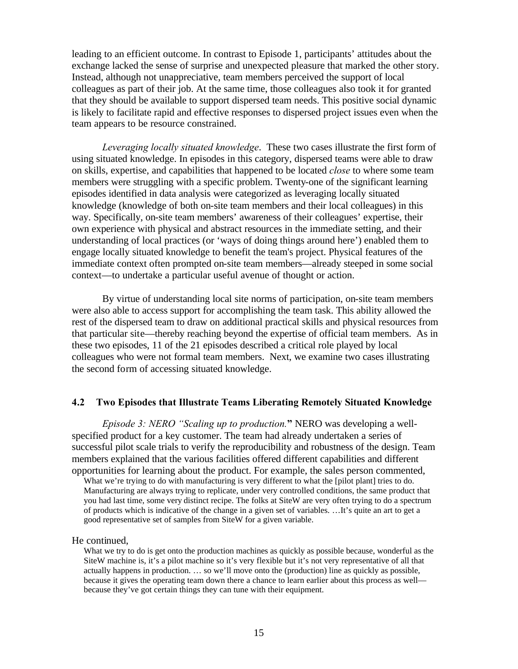leading to an efficient outcome. In contrast to Episode 1, participants' attitudes about the exchange lacked the sense of surprise and unexpected pleasure that marked the other story. Instead, although not unappreciative, team members perceived the support of local colleagues as part of their job. At the same time, those colleagues also took it for granted that they should be available to support dispersed team needs. This positive social dynamic is likely to facilitate rapid and effective responses to dispersed project issues even when the team appears to be resource constrained.

*Leveraging locally situated knowledge*. These two cases illustrate the first form of using situated knowledge. In episodes in this category, dispersed teams were able to draw on skills, expertise, and capabilities that happened to be located *close* to where some team members were struggling with a specific problem. Twenty-one of the significant learning episodes identified in data analysis were categorized as leveraging locally situated knowledge (knowledge of both on-site team members and their local colleagues) in this way. Specifically, on-site team members' awareness of their colleagues' expertise, their own experience with physical and abstract resources in the immediate setting, and their understanding of local practices (or 'ways of doing things around here') enabled them to engage locally situated knowledge to benefit the team's project. Physical features of the immediate context often prompted on-site team members—already steeped in some social context—to undertake a particular useful avenue of thought or action.

By virtue of understanding local site norms of participation, on-site team members were also able to access support for accomplishing the team task. This ability allowed the rest of the dispersed team to draw on additional practical skills and physical resources from that particular site—thereby reaching beyond the expertise of official team members. As in these two episodes, 11 of the 21 episodes described a critical role played by local colleagues who were not formal team members. Next, we examine two cases illustrating the second form of accessing situated knowledge.

#### **4.2 Two Episodes that Illustrate Teams Liberating Remotely Situated Knowledge**

*Episode 3: NERO "Scaling up to production.***"** NERO was developing a wellspecified product for a key customer. The team had already undertaken a series of successful pilot scale trials to verify the reproducibility and robustness of the design. Team members explained that the various facilities offered different capabilities and different opportunities for learning about the product. For example, the sales person commented,

What we're trying to do with manufacturing is very different to what the [pilot plant] tries to do. Manufacturing are always trying to replicate, under very controlled conditions, the same product that you had last time, some very distinct recipe. The folks at SiteW are very often trying to do a spectrum of products which is indicative of the change in a given set of variables. …It's quite an art to get a good representative set of samples from SiteW for a given variable.

#### He continued,

What we try to do is get onto the production machines as quickly as possible because, wonderful as the SiteW machine is, it's a pilot machine so it's very flexible but it's not very representative of all that actually happens in production. … so we'll move onto the (production) line as quickly as possible, because it gives the operating team down there a chance to learn earlier about this process as well because they've got certain things they can tune with their equipment.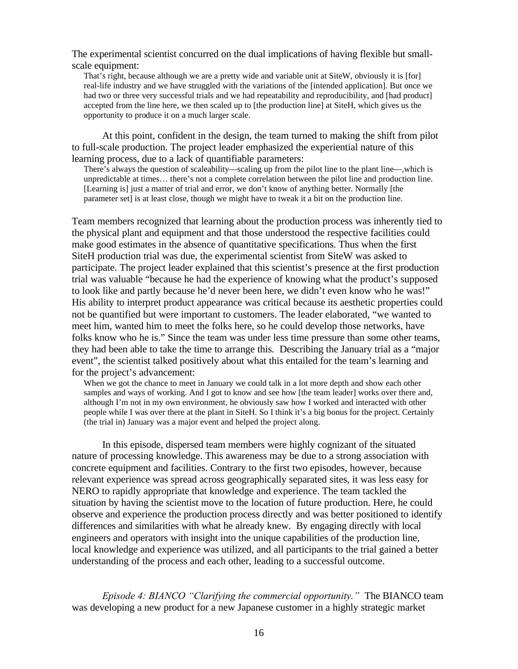The experimental scientist concurred on the dual implications of having flexible but smallscale equipment:

That's right, because although we are a pretty wide and variable unit at SiteW, obviously it is [for] real-life industry and we have struggled with the variations of the [intended application]. But once we had two or three very successful trials and we had repeatability and reproducibility, and [had product] accepted from the line here, we then scaled up to [the production line] at SiteH, which gives us the opportunity to produce it on a much larger scale.

At this point, confident in the design, the team turned to making the shift from pilot to full-scale production. The project leader emphasized the experiential nature of this learning process, due to a lack of quantifiable parameters:

There's always the question of scaleability—scaling up from the pilot line to the plant line—,which is unpredictable at times… there's not a complete correlation between the pilot line and production line. [Learning is] just a matter of trial and error, we don't know of anything better. Normally [the parameter set] is at least close, though we might have to tweak it a bit on the production line.

Team members recognized that learning about the production process was inherently tied to the physical plant and equipment and that those understood the respective facilities could make good estimates in the absence of quantitative specifications. Thus when the first SiteH production trial was due, the experimental scientist from SiteW was asked to participate. The project leader explained that this scientist's presence at the first production trial was valuable "because he had the experience of knowing what the product's supposed to look like and partly because he'd never been here, we didn't even know who he was!" His ability to interpret product appearance was critical because its aesthetic properties could not be quantified but were important to customers. The leader elaborated, "we wanted to meet him, wanted him to meet the folks here, so he could develop those networks, have folks know who he is." Since the team was under less time pressure than some other teams, they had been able to take the time to arrange this. Describing the January trial as a "major event", the scientist talked positively about what this entailed for the team's learning and for the project's advancement:

When we got the chance to meet in January we could talk in a lot more depth and show each other samples and ways of working. And I got to know and see how [the team leader] works over there and, although I'm not in my own environment, he obviously saw how I worked and interacted with other people while I was over there at the plant in SiteH. So I think it's a big bonus for the project. Certainly (the trial in) January was a major event and helped the project along.

In this episode, dispersed team members were highly cognizant of the situated nature of processing knowledge. This awareness may be due to a strong association with concrete equipment and facilities. Contrary to the first two episodes, however, because relevant experience was spread across geographically separated sites, it was less easy for NERO to rapidly appropriate that knowledge and experience. The team tackled the situation by having the scientist move to the location of future production. Here, he could observe and experience the production process directly and was better positioned to identify differences and similarities with what he already knew. By engaging directly with local engineers and operators with insight into the unique capabilities of the production line, local knowledge and experience was utilized, and all participants to the trial gained a better understanding of the process and each other, leading to a successful outcome.

*Episode 4: BIANCO "Clarifying the commercial opportunity."* The BIANCO team was developing a new product for a new Japanese customer in a highly strategic market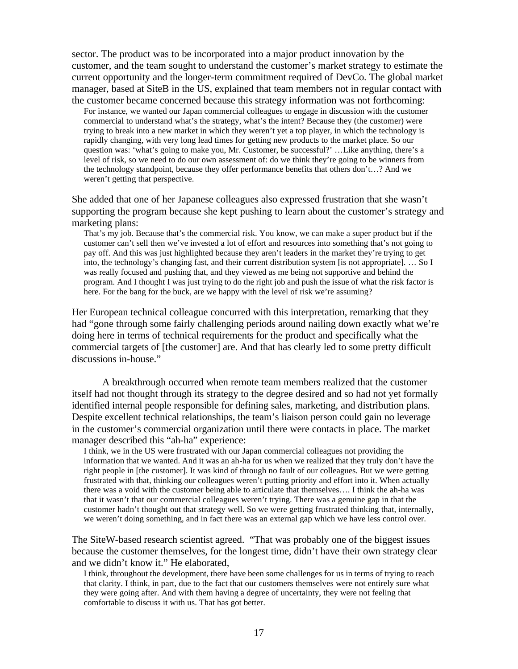sector. The product was to be incorporated into a major product innovation by the customer, and the team sought to understand the customer's market strategy to estimate the current opportunity and the longer-term commitment required of DevCo. The global market manager, based at SiteB in the US, explained that team members not in regular contact with the customer became concerned because this strategy information was not forthcoming:

For instance, we wanted our Japan commercial colleagues to engage in discussion with the customer commercial to understand what's the strategy, what's the intent? Because they (the customer) were trying to break into a new market in which they weren't yet a top player, in which the technology is rapidly changing, with very long lead times for getting new products to the market place. So our question was: 'what's going to make you, Mr. Customer, be successful?' …Like anything, there's a level of risk, so we need to do our own assessment of: do we think they're going to be winners from the technology standpoint, because they offer performance benefits that others don't…? And we weren't getting that perspective.

She added that one of her Japanese colleagues also expressed frustration that she wasn't supporting the program because she kept pushing to learn about the customer's strategy and marketing plans:

That's my job. Because that's the commercial risk. You know, we can make a super product but if the customer can't sell then we've invested a lot of effort and resources into something that's not going to pay off. And this was just highlighted because they aren't leaders in the market they're trying to get into, the technology's changing fast, and their current distribution system [is not appropriate]. … So I was really focused and pushing that, and they viewed as me being not supportive and behind the program. And I thought I was just trying to do the right job and push the issue of what the risk factor is here. For the bang for the buck, are we happy with the level of risk we're assuming?

Her European technical colleague concurred with this interpretation, remarking that they had "gone through some fairly challenging periods around nailing down exactly what we're doing here in terms of technical requirements for the product and specifically what the commercial targets of [the customer] are. And that has clearly led to some pretty difficult discussions in-house."

A breakthrough occurred when remote team members realized that the customer itself had not thought through its strategy to the degree desired and so had not yet formally identified internal people responsible for defining sales, marketing, and distribution plans. Despite excellent technical relationships, the team's liaison person could gain no leverage in the customer's commercial organization until there were contacts in place. The market manager described this "ah-ha" experience:

I think, we in the US were frustrated with our Japan commercial colleagues not providing the information that we wanted. And it was an ah-ha for us when we realized that they truly don't have the right people in [the customer]. It was kind of through no fault of our colleagues. But we were getting frustrated with that, thinking our colleagues weren't putting priority and effort into it. When actually there was a void with the customer being able to articulate that themselves…. I think the ah-ha was that it wasn't that our commercial colleagues weren't trying. There was a genuine gap in that the customer hadn't thought out that strategy well. So we were getting frustrated thinking that, internally, we weren't doing something, and in fact there was an external gap which we have less control over.

The SiteW-based research scientist agreed. "That was probably one of the biggest issues because the customer themselves, for the longest time, didn't have their own strategy clear and we didn't know it." He elaborated,

I think, throughout the development, there have been some challenges for us in terms of trying to reach that clarity. I think, in part, due to the fact that our customers themselves were not entirely sure what they were going after. And with them having a degree of uncertainty, they were not feeling that comfortable to discuss it with us. That has got better.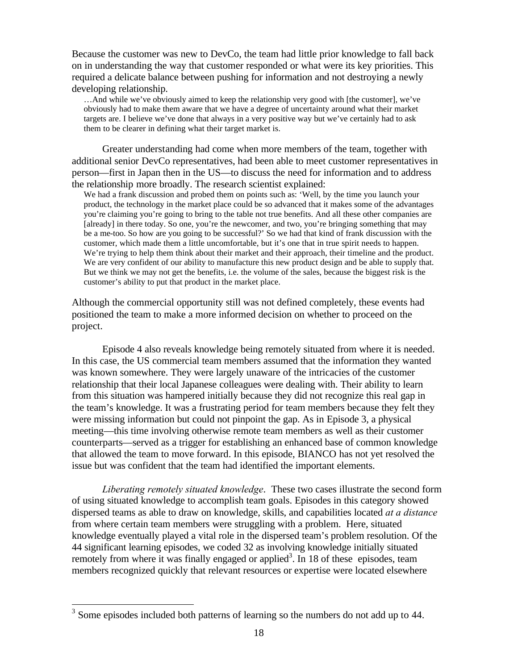Because the customer was new to DevCo, the team had little prior knowledge to fall back on in understanding the way that customer responded or what were its key priorities. This required a delicate balance between pushing for information and not destroying a newly developing relationship.

…And while we've obviously aimed to keep the relationship very good with [the customer], we've obviously had to make them aware that we have a degree of uncertainty around what their market targets are. I believe we've done that always in a very positive way but we've certainly had to ask them to be clearer in defining what their target market is.

Greater understanding had come when more members of the team, together with additional senior DevCo representatives, had been able to meet customer representatives in person—first in Japan then in the US—to discuss the need for information and to address the relationship more broadly. The research scientist explained:

We had a frank discussion and probed them on points such as: 'Well, by the time you launch your product, the technology in the market place could be so advanced that it makes some of the advantages you're claiming you're going to bring to the table not true benefits. And all these other companies are [already] in there today. So one, you're the newcomer, and two, you're bringing something that may be a me-too. So how are you going to be successful?' So we had that kind of frank discussion with the customer, which made them a little uncomfortable, but it's one that in true spirit needs to happen. We're trying to help them think about their market and their approach, their timeline and the product. We are very confident of our ability to manufacture this new product design and be able to supply that. But we think we may not get the benefits, i.e. the volume of the sales, because the biggest risk is the customer's ability to put that product in the market place.

Although the commercial opportunity still was not defined completely, these events had positioned the team to make a more informed decision on whether to proceed on the project.

Episode 4 also reveals knowledge being remotely situated from where it is needed. In this case, the US commercial team members assumed that the information they wanted was known somewhere. They were largely unaware of the intricacies of the customer relationship that their local Japanese colleagues were dealing with. Their ability to learn from this situation was hampered initially because they did not recognize this real gap in the team's knowledge. It was a frustrating period for team members because they felt they were missing information but could not pinpoint the gap. As in Episode 3, a physical meeting—this time involving otherwise remote team members as well as their customer counterparts—served as a trigger for establishing an enhanced base of common knowledge that allowed the team to move forward. In this episode, BIANCO has not yet resolved the issue but was confident that the team had identified the important elements.

*Liberating remotely situated knowledge*.These two cases illustrate the second form of using situated knowledge to accomplish team goals. Episodes in this category showed dispersed teams as able to draw on knowledge, skills, and capabilities located *at a distance* from where certain team members were struggling with a problem. Here, situated knowledge eventually played a vital role in the dispersed team's problem resolution. Of the 44 significant learning episodes, we coded 32 as involving knowledge initially situated remotely from where it was finally engaged or applied<sup>3</sup>. In 18 of these episodes, team members recognized quickly that relevant resources or expertise were located elsewhere

<u>.</u>

 $3$  Some episodes included both patterns of learning so the numbers do not add up to 44.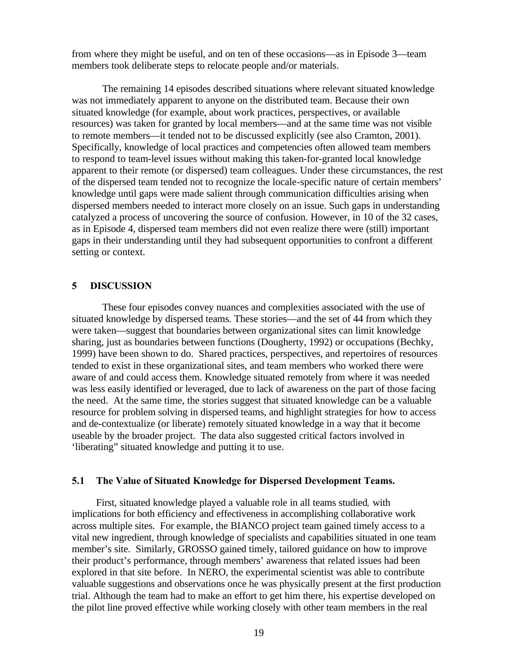from where they might be useful, and on ten of these occasions—as in Episode 3—team members took deliberate steps to relocate people and/or materials.

The remaining 14 episodes described situations where relevant situated knowledge was not immediately apparent to anyone on the distributed team. Because their own situated knowledge (for example, about work practices, perspectives, or available resources) was taken for granted by local members—and at the same time was not visible to remote members—it tended not to be discussed explicitly (see also Cramton, 2001). Specifically, knowledge of local practices and competencies often allowed team members to respond to team-level issues without making this taken-for-granted local knowledge apparent to their remote (or dispersed) team colleagues. Under these circumstances, the rest of the dispersed team tended not to recognize the locale-specific nature of certain members' knowledge until gaps were made salient through communication difficulties arising when dispersed members needed to interact more closely on an issue. Such gaps in understanding catalyzed a process of uncovering the source of confusion. However, in 10 of the 32 cases, as in Episode 4, dispersed team members did not even realize there were (still) important gaps in their understanding until they had subsequent opportunities to confront a different setting or context.

#### **5 DISCUSSION**

These four episodes convey nuances and complexities associated with the use of situated knowledge by dispersed teams. These stories—and the set of 44 from which they were taken—suggest that boundaries between organizational sites can limit knowledge sharing, just as boundaries between functions (Dougherty, 1992) or occupations (Bechky, 1999) have been shown to do. Shared practices, perspectives, and repertoires of resources tended to exist in these organizational sites, and team members who worked there were aware of and could access them. Knowledge situated remotely from where it was needed was less easily identified or leveraged, due to lack of awareness on the part of those facing the need. At the same time, the stories suggest that situated knowledge can be a valuable resource for problem solving in dispersed teams, and highlight strategies for how to access and de-contextualize (or liberate) remotely situated knowledge in a way that it become useable by the broader project. The data also suggested critical factors involved in 'liberating" situated knowledge and putting it to use.

#### **5.1 The Value of Situated Knowledge for Dispersed Development Teams.**

First, situated knowledge played a valuable role in all teams studied*,* with implications for both efficiency and effectiveness in accomplishing collaborative work across multiple sites. For example, the BIANCO project team gained timely access to a vital new ingredient, through knowledge of specialists and capabilities situated in one team member's site. Similarly, GROSSO gained timely, tailored guidance on how to improve their product's performance, through members' awareness that related issues had been explored in that site before. In NERO, the experimental scientist was able to contribute valuable suggestions and observations once he was physically present at the first production trial. Although the team had to make an effort to get him there, his expertise developed on the pilot line proved effective while working closely with other team members in the real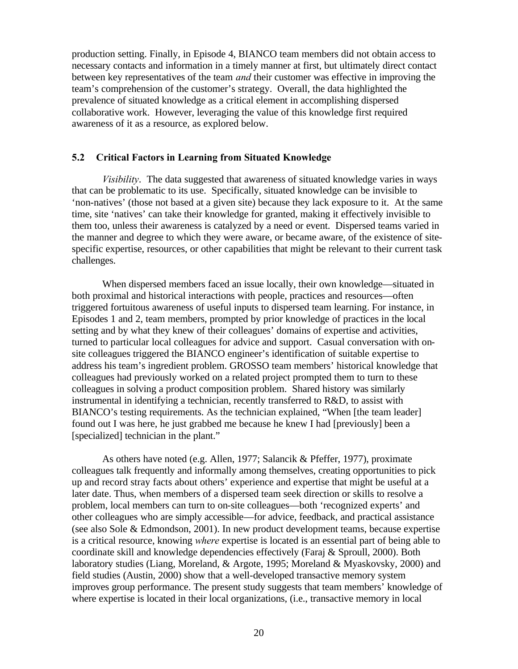production setting. Finally, in Episode 4, BIANCO team members did not obtain access to necessary contacts and information in a timely manner at first, but ultimately direct contact between key representatives of the team *and* their customer was effective in improving the team's comprehension of the customer's strategy. Overall, the data highlighted the prevalence of situated knowledge as a critical element in accomplishing dispersed collaborative work. However, leveraging the value of this knowledge first required awareness of it as a resource, as explored below.

#### **5.2 Critical Factors in Learning from Situated Knowledge**

*Visibility*.The data suggested that awareness of situated knowledge varies in ways that can be problematic to its use. Specifically, situated knowledge can be invisible to 'non-natives' (those not based at a given site) because they lack exposure to it. At the same time, site 'natives' can take their knowledge for granted, making it effectively invisible to them too, unless their awareness is catalyzed by a need or event. Dispersed teams varied in the manner and degree to which they were aware, or became aware, of the existence of sitespecific expertise, resources, or other capabilities that might be relevant to their current task challenges.

When dispersed members faced an issue locally, their own knowledge—situated in both proximal and historical interactions with people, practices and resources—often triggered fortuitous awareness of useful inputs to dispersed team learning. For instance, in Episodes 1 and 2, team members, prompted by prior knowledge of practices in the local setting and by what they knew of their colleagues' domains of expertise and activities, turned to particular local colleagues for advice and support. Casual conversation with onsite colleagues triggered the BIANCO engineer's identification of suitable expertise to address his team's ingredient problem. GROSSO team members' historical knowledge that colleagues had previously worked on a related project prompted them to turn to these colleagues in solving a product composition problem. Shared history was similarly instrumental in identifying a technician, recently transferred to R&D, to assist with BIANCO's testing requirements. As the technician explained, "When [the team leader] found out I was here, he just grabbed me because he knew I had [previously] been a [specialized] technician in the plant."

As others have noted (e.g. Allen, 1977; Salancik & Pfeffer, 1977), proximate colleagues talk frequently and informally among themselves, creating opportunities to pick up and record stray facts about others' experience and expertise that might be useful at a later date. Thus, when members of a dispersed team seek direction or skills to resolve a problem, local members can turn to on-site colleagues—both 'recognized experts' and other colleagues who are simply accessible—for advice, feedback, and practical assistance (see also Sole & Edmondson, 2001). In new product development teams, because expertise is a critical resource, knowing *where* expertise is located is an essential part of being able to coordinate skill and knowledge dependencies effectively (Faraj & Sproull, 2000). Both laboratory studies (Liang, Moreland, & Argote, 1995; Moreland & Myaskovsky, 2000) and field studies (Austin, 2000) show that a well-developed transactive memory system improves group performance. The present study suggests that team members' knowledge of where expertise is located in their local organizations, (i.e., transactive memory in local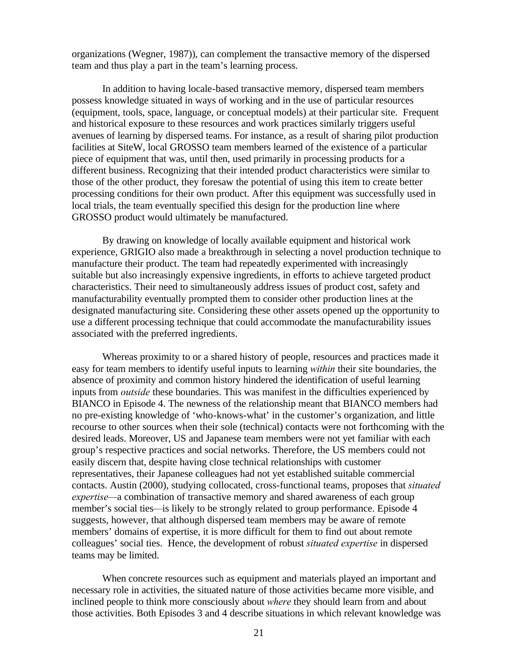organizations (Wegner, 1987)), can complement the transactive memory of the dispersed team and thus play a part in the team's learning process.

In addition to having locale-based transactive memory, dispersed team members possess knowledge situated in ways of working and in the use of particular resources (equipment, tools, space, language, or conceptual models) at their particular site. Frequent and historical exposure to these resources and work practices similarly triggers useful avenues of learning by dispersed teams. For instance, as a result of sharing pilot production facilities at SiteW, local GROSSO team members learned of the existence of a particular piece of equipment that was, until then, used primarily in processing products for a different business. Recognizing that their intended product characteristics were similar to those of the other product, they foresaw the potential of using this item to create better processing conditions for their own product. After this equipment was successfully used in local trials, the team eventually specified this design for the production line where GROSSO product would ultimately be manufactured.

By drawing on knowledge of locally available equipment and historical work experience, GRIGIO also made a breakthrough in selecting a novel production technique to manufacture their product. The team had repeatedly experimented with increasingly suitable but also increasingly expensive ingredients, in efforts to achieve targeted product characteristics. Their need to simultaneously address issues of product cost, safety and manufacturability eventually prompted them to consider other production lines at the designated manufacturing site. Considering these other assets opened up the opportunity to use a different processing technique that could accommodate the manufacturability issues associated with the preferred ingredients.

Whereas proximity to or a shared history of people, resources and practices made it easy for team members to identify useful inputs to learning *within* their site boundaries, the absence of proximity and common history hindered the identification of useful learning inputs from *outside* these boundaries. This was manifest in the difficulties experienced by BIANCO in Episode 4. The newness of the relationship meant that BIANCO members had no pre-existing knowledge of 'who-knows-what' in the customer's organization, and little recourse to other sources when their sole (technical) contacts were not forthcoming with the desired leads. Moreover, US and Japanese team members were not yet familiar with each group's respective practices and social networks. Therefore, the US members could not easily discern that, despite having close technical relationships with customer representatives, their Japanese colleagues had not yet established suitable commercial contacts. Austin (2000), studying collocated, cross-functional teams, proposes that *situated expertise—*a combination of transactive memory and shared awareness of each group member's social ties*—*is likely to be strongly related to group performance. Episode 4 suggests, however, that although dispersed team members may be aware of remote members' domains of expertise, it is more difficult for them to find out about remote colleagues' social ties. Hence, the development of robust *situated expertise* in dispersed teams may be limited.

When concrete resources such as equipment and materials played an important and necessary role in activities, the situated nature of those activities became more visible, and inclined people to think more consciously about *where* they should learn from and about those activities. Both Episodes 3 and 4 describe situations in which relevant knowledge was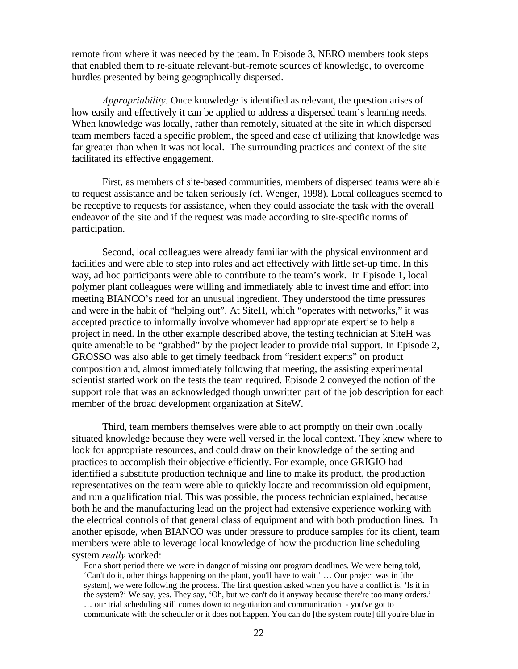remote from where it was needed by the team. In Episode 3, NERO members took steps that enabled them to re-situate relevant-but-remote sources of knowledge, to overcome hurdles presented by being geographically dispersed.

*Appropriability.* Once knowledge is identified as relevant, the question arises of how easily and effectively it can be applied to address a dispersed team's learning needs. When knowledge was locally, rather than remotely, situated at the site in which dispersed team members faced a specific problem, the speed and ease of utilizing that knowledge was far greater than when it was not local. The surrounding practices and context of the site facilitated its effective engagement.

First, as members of site-based communities, members of dispersed teams were able to request assistance and be taken seriously (cf. Wenger, 1998). Local colleagues seemed to be receptive to requests for assistance, when they could associate the task with the overall endeavor of the site and if the request was made according to site-specific norms of participation.

Second, local colleagues were already familiar with the physical environment and facilities and were able to step into roles and act effectively with little set-up time. In this way, ad hoc participants were able to contribute to the team's work. In Episode 1, local polymer plant colleagues were willing and immediately able to invest time and effort into meeting BIANCO's need for an unusual ingredient. They understood the time pressures and were in the habit of "helping out". At SiteH, which "operates with networks," it was accepted practice to informally involve whomever had appropriate expertise to help a project in need. In the other example described above, the testing technician at SiteH was quite amenable to be "grabbed" by the project leader to provide trial support. In Episode 2, GROSSO was also able to get timely feedback from "resident experts" on product composition and, almost immediately following that meeting, the assisting experimental scientist started work on the tests the team required. Episode 2 conveyed the notion of the support role that was an acknowledged though unwritten part of the job description for each member of the broad development organization at SiteW.

Third, team members themselves were able to act promptly on their own locally situated knowledge because they were well versed in the local context. They knew where to look for appropriate resources, and could draw on their knowledge of the setting and practices to accomplish their objective efficiently. For example, once GRIGIO had identified a substitute production technique and line to make its product, the production representatives on the team were able to quickly locate and recommission old equipment, and run a qualification trial. This was possible, the process technician explained, because both he and the manufacturing lead on the project had extensive experience working with the electrical controls of that general class of equipment and with both production lines. In another episode, when BIANCO was under pressure to produce samples for its client, team members were able to leverage local knowledge of how the production line scheduling system *really* worked:

For a short period there we were in danger of missing our program deadlines. We were being told, 'Can't do it, other things happening on the plant, you'll have to wait.' … Our project was in [the system], we were following the process. The first question asked when you have a conflict is, 'Is it in the system?' We say, yes. They say, 'Oh, but we can't do it anyway because there're too many orders.' … our trial scheduling still comes down to negotiation and communication - you've got to communicate with the scheduler or it does not happen. You can do [the system route] till you're blue in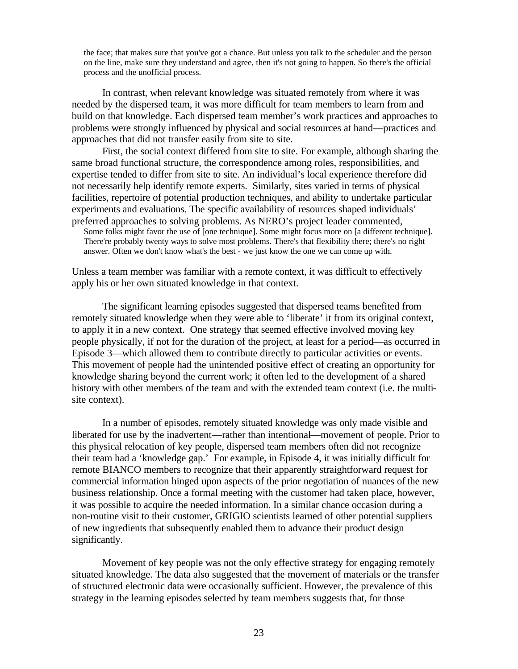the face; that makes sure that you've got a chance. But unless you talk to the scheduler and the person on the line, make sure they understand and agree, then it's not going to happen. So there's the official process and the unofficial process.

In contrast, when relevant knowledge was situated remotely from where it was needed by the dispersed team, it was more difficult for team members to learn from and build on that knowledge. Each dispersed team member's work practices and approaches to problems were strongly influenced by physical and social resources at hand—practices and approaches that did not transfer easily from site to site.

First, the social context differed from site to site. For example, although sharing the same broad functional structure, the correspondence among roles, responsibilities, and expertise tended to differ from site to site. An individual's local experience therefore did not necessarily help identify remote experts. Similarly, sites varied in terms of physical facilities, repertoire of potential production techniques, and ability to undertake particular experiments and evaluations. The specific availability of resources shaped individuals' preferred approaches to solving problems. As NERO's project leader commented,

Some folks might favor the use of [one technique]. Some might focus more on [a different technique]. There're probably twenty ways to solve most problems. There's that flexibility there; there's no right answer. Often we don't know what's the best - we just know the one we can come up with.

Unless a team member was familiar with a remote context, it was difficult to effectively apply his or her own situated knowledge in that context.

The significant learning episodes suggested that dispersed teams benefited from remotely situated knowledge when they were able to 'liberate' it from its original context, to apply it in a new context. One strategy that seemed effective involved moving key people physically, if not for the duration of the project, at least for a period—as occurred in Episode 3—which allowed them to contribute directly to particular activities or events. This movement of people had the unintended positive effect of creating an opportunity for knowledge sharing beyond the current work; it often led to the development of a shared history with other members of the team and with the extended team context (i.e. the multisite context).

In a number of episodes, remotely situated knowledge was only made visible and liberated for use by the inadvertent—rather than intentional—movement of people. Prior to this physical relocation of key people, dispersed team members often did not recognize their team had a 'knowledge gap.' For example, in Episode 4, it was initially difficult for remote BIANCO members to recognize that their apparently straightforward request for commercial information hinged upon aspects of the prior negotiation of nuances of the new business relationship. Once a formal meeting with the customer had taken place, however, it was possible to acquire the needed information. In a similar chance occasion during a non-routine visit to their customer, GRIGIO scientists learned of other potential suppliers of new ingredients that subsequently enabled them to advance their product design significantly.

Movement of key people was not the only effective strategy for engaging remotely situated knowledge. The data also suggested that the movement of materials or the transfer of structured electronic data were occasionally sufficient. However, the prevalence of this strategy in the learning episodes selected by team members suggests that, for those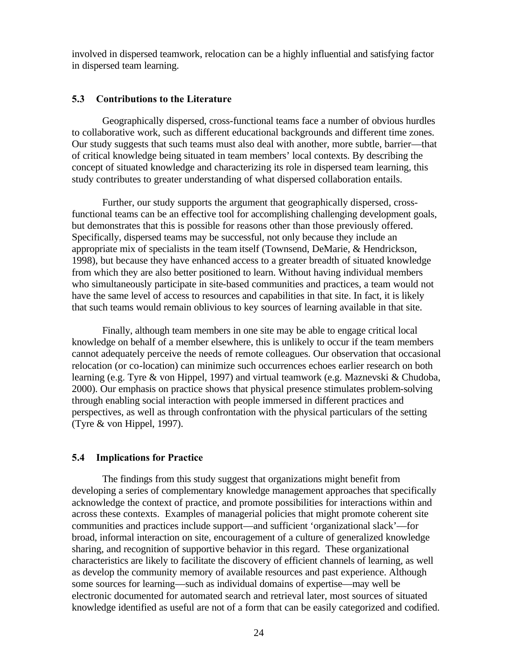involved in dispersed teamwork, relocation can be a highly influential and satisfying factor in dispersed team learning.

#### **5.3 Contributions to the Literature**

Geographically dispersed, cross-functional teams face a number of obvious hurdles to collaborative work, such as different educational backgrounds and different time zones. Our study suggests that such teams must also deal with another, more subtle, barrier—that of critical knowledge being situated in team members' local contexts. By describing the concept of situated knowledge and characterizing its role in dispersed team learning, this study contributes to greater understanding of what dispersed collaboration entails.

Further, our study supports the argument that geographically dispersed, crossfunctional teams can be an effective tool for accomplishing challenging development goals, but demonstrates that this is possible for reasons other than those previously offered. Specifically, dispersed teams may be successful, not only because they include an appropriate mix of specialists in the team itself (Townsend, DeMarie, & Hendrickson, 1998), but because they have enhanced access to a greater breadth of situated knowledge from which they are also better positioned to learn. Without having individual members who simultaneously participate in site-based communities and practices, a team would not have the same level of access to resources and capabilities in that site. In fact, it is likely that such teams would remain oblivious to key sources of learning available in that site.

Finally, although team members in one site may be able to engage critical local knowledge on behalf of a member elsewhere, this is unlikely to occur if the team members cannot adequately perceive the needs of remote colleagues. Our observation that occasional relocation (or co-location) can minimize such occurrences echoes earlier research on both learning (e.g. Tyre & von Hippel, 1997) and virtual teamwork (e.g. Maznevski & Chudoba, 2000). Our emphasis on practice shows that physical presence stimulates problem-solving through enabling social interaction with people immersed in different practices and perspectives, as well as through confrontation with the physical particulars of the setting (Tyre & von Hippel, 1997).

#### **5.4 Implications for Practice**

The findings from this study suggest that organizations might benefit from developing a series of complementary knowledge management approaches that specifically acknowledge the context of practice, and promote possibilities for interactions within and across these contexts. Examples of managerial policies that might promote coherent site communities and practices include support—and sufficient 'organizational slack'—for broad, informal interaction on site, encouragement of a culture of generalized knowledge sharing, and recognition of supportive behavior in this regard. These organizational characteristics are likely to facilitate the discovery of efficient channels of learning, as well as develop the community memory of available resources and past experience. Although some sources for learning—such as individual domains of expertise—may well be electronic documented for automated search and retrieval later, most sources of situated knowledge identified as useful are not of a form that can be easily categorized and codified.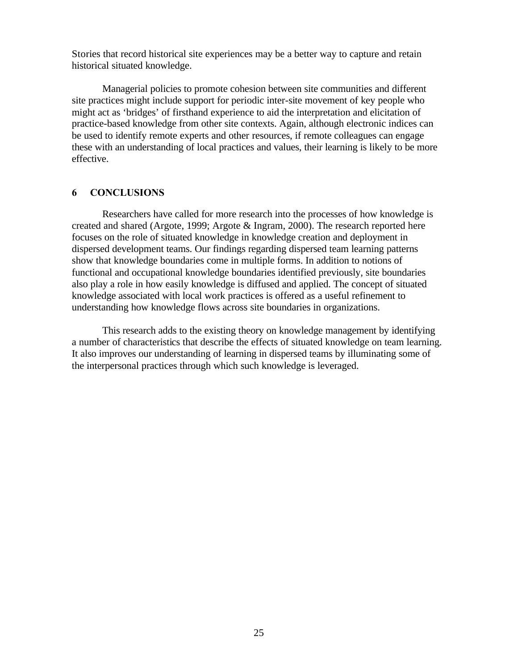Stories that record historical site experiences may be a better way to capture and retain historical situated knowledge.

Managerial policies to promote cohesion between site communities and different site practices might include support for periodic inter-site movement of key people who might act as 'bridges' of firsthand experience to aid the interpretation and elicitation of practice-based knowledge from other site contexts. Again, although electronic indices can be used to identify remote experts and other resources, if remote colleagues can engage these with an understanding of local practices and values, their learning is likely to be more effective.

#### **6 CONCLUSIONS**

Researchers have called for more research into the processes of how knowledge is created and shared (Argote, 1999; Argote & Ingram, 2000). The research reported here focuses on the role of situated knowledge in knowledge creation and deployment in dispersed development teams. Our findings regarding dispersed team learning patterns show that knowledge boundaries come in multiple forms. In addition to notions of functional and occupational knowledge boundaries identified previously, site boundaries also play a role in how easily knowledge is diffused and applied. The concept of situated knowledge associated with local work practices is offered as a useful refinement to understanding how knowledge flows across site boundaries in organizations.

This research adds to the existing theory on knowledge management by identifying a number of characteristics that describe the effects of situated knowledge on team learning. It also improves our understanding of learning in dispersed teams by illuminating some of the interpersonal practices through which such knowledge is leveraged.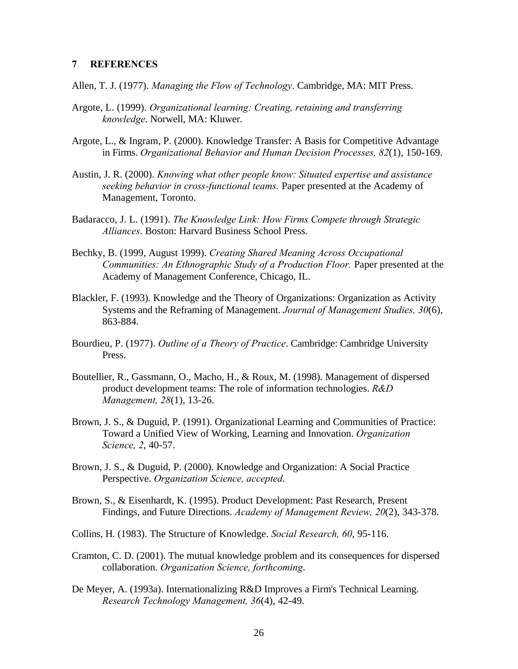#### **7 REFERENCES**

Allen, T. J. (1977). *Managing the Flow of Technology*. Cambridge, MA: MIT Press.

- Argote, L. (1999). *Organizational learning: Creating, retaining and transferring knowledge*. Norwell, MA: Kluwer.
- Argote, L., & Ingram, P. (2000). Knowledge Transfer: A Basis for Competitive Advantage in Firms. *Organizational Behavior and Human Decision Processes, 82*(1), 150-169.
- Austin, J. R. (2000). *Knowing what other people know: Situated expertise and assistance seeking behavior in cross-functional teams.* Paper presented at the Academy of Management, Toronto.
- Badaracco, J. L. (1991). *The Knowledge Link: How Firms Compete through Strategic Alliances*. Boston: Harvard Business School Press.
- Bechky, B. (1999, August 1999). *Creating Shared Meaning Across Occupational Communities: An Ethnographic Study of a Production Floor.* Paper presented at the Academy of Management Conference, Chicago, IL.
- Blackler, F. (1993). Knowledge and the Theory of Organizations: Organization as Activity Systems and the Reframing of Management. *Journal of Management Studies, 30*(6), 863-884.
- Bourdieu, P. (1977). *Outline of a Theory of Practice*. Cambridge: Cambridge University Press.
- Boutellier, R., Gassmann, O., Macho, H., & Roux, M. (1998). Management of dispersed product development teams: The role of information technologies. *R&D Management, 28*(1), 13-26.
- Brown, J. S., & Duguid, P. (1991). Organizational Learning and Communities of Practice: Toward a Unified View of Working, Learning and Innovation. *Organization Science, 2*, 40-57.
- Brown, J. S., & Duguid, P. (2000). Knowledge and Organization: A Social Practice Perspective. *Organization Science, accepted*.
- Brown, S., & Eisenhardt, K. (1995). Product Development: Past Research, Present Findings, and Future Directions. *Academy of Management Review, 20*(2), 343-378.
- Collins, H. (1983). The Structure of Knowledge. *Social Research, 60*, 95-116.
- Cramton, C. D. (2001). The mutual knowledge problem and its consequences for dispersed collaboration. *Organization Science, forthcoming*.
- De Meyer, A. (1993a). Internationalizing R&D Improves a Firm's Technical Learning. *Research Technology Management, 36*(4), 42-49.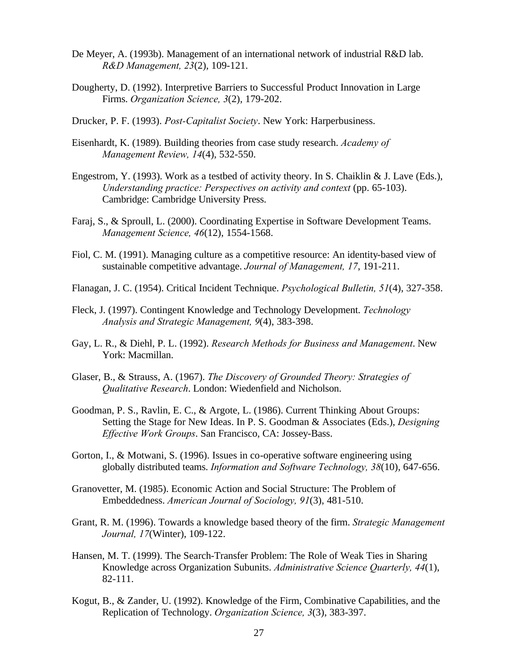- De Meyer, A. (1993b). Management of an international network of industrial R&D lab. *R&D Management, 23*(2), 109-121.
- Dougherty, D. (1992). Interpretive Barriers to Successful Product Innovation in Large Firms. *Organization Science, 3*(2), 179-202.
- Drucker, P. F. (1993). *Post-Capitalist Society*. New York: Harperbusiness.
- Eisenhardt, K. (1989). Building theories from case study research. *Academy of Management Review, 14*(4), 532-550.
- Engestrom, Y. (1993). Work as a testbed of activity theory. In S. Chaiklin & J. Lave (Eds.), *Understanding practice: Perspectives on activity and context* (pp. 65-103). Cambridge: Cambridge University Press.
- Faraj, S., & Sproull, L. (2000). Coordinating Expertise in Software Development Teams. *Management Science, 46*(12), 1554-1568.
- Fiol, C. M. (1991). Managing culture as a competitive resource: An identity-based view of sustainable competitive advantage. *Journal of Management, 17*, 191-211.
- Flanagan, J. C. (1954). Critical Incident Technique. *Psychological Bulletin, 51*(4), 327-358.
- Fleck, J. (1997). Contingent Knowledge and Technology Development. *Technology Analysis and Strategic Management, 9*(4), 383-398.
- Gay, L. R., & Diehl, P. L. (1992). *Research Methods for Business and Management*. New York: Macmillan.
- Glaser, B., & Strauss, A. (1967). *The Discovery of Grounded Theory: Strategies of Qualitative Research*. London: Wiedenfield and Nicholson.
- Goodman, P. S., Ravlin, E. C., & Argote, L. (1986). Current Thinking About Groups: Setting the Stage for New Ideas. In P. S. Goodman & Associates (Eds.), *Designing Effective Work Groups*. San Francisco, CA: Jossey-Bass.
- Gorton, I., & Motwani, S. (1996). Issues in co-operative software engineering using globally distributed teams. *Information and Software Technology, 38*(10), 647-656.
- Granovetter, M. (1985). Economic Action and Social Structure: The Problem of Embeddedness. *American Journal of Sociology, 91*(3), 481-510.
- Grant, R. M. (1996). Towards a knowledge based theory of the firm. *Strategic Management Journal, 17*(Winter), 109-122.
- Hansen, M. T. (1999). The Search-Transfer Problem: The Role of Weak Ties in Sharing Knowledge across Organization Subunits. *Administrative Science Quarterly, 44*(1), 82-111.
- Kogut, B., & Zander, U. (1992). Knowledge of the Firm, Combinative Capabilities, and the Replication of Technology. *Organization Science, 3*(3), 383-397.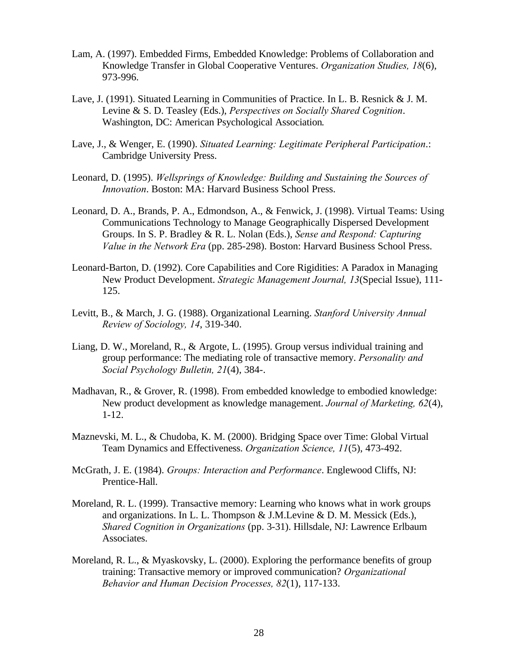- Lam, A. (1997). Embedded Firms, Embedded Knowledge: Problems of Collaboration and Knowledge Transfer in Global Cooperative Ventures. *Organization Studies, 18*(6), 973-996.
- Lave, J. (1991). Situated Learning in Communities of Practice. In L. B. Resnick & J. M. Levine & S. D. Teasley (Eds.), *Perspectives on Socially Shared Cognition*. Washington, DC: American Psychological Association.
- Lave, J., & Wenger, E. (1990). *Situated Learning: Legitimate Peripheral Participation*.: Cambridge University Press.
- Leonard, D. (1995). *Wellsprings of Knowledge: Building and Sustaining the Sources of Innovation*. Boston: MA: Harvard Business School Press.
- Leonard, D. A., Brands, P. A., Edmondson, A., & Fenwick, J. (1998). Virtual Teams: Using Communications Technology to Manage Geographically Dispersed Development Groups. In S. P. Bradley & R. L. Nolan (Eds.), *Sense and Respond: Capturing Value in the Network Era* (pp. 285-298). Boston: Harvard Business School Press.
- Leonard-Barton, D. (1992). Core Capabilities and Core Rigidities: A Paradox in Managing New Product Development. *Strategic Management Journal, 13*(Special Issue), 111- 125.
- Levitt, B., & March, J. G. (1988). Organizational Learning. *Stanford University Annual Review of Sociology, 14*, 319-340.
- Liang, D. W., Moreland, R., & Argote, L. (1995). Group versus individual training and group performance: The mediating role of transactive memory. *Personality and Social Psychology Bulletin, 21*(4), 384-.
- Madhavan, R., & Grover, R. (1998). From embedded knowledge to embodied knowledge: New product development as knowledge management. *Journal of Marketing, 62*(4), 1-12.
- Maznevski, M. L., & Chudoba, K. M. (2000). Bridging Space over Time: Global Virtual Team Dynamics and Effectiveness. *Organization Science, 11*(5), 473-492.
- McGrath, J. E. (1984). *Groups: Interaction and Performance*. Englewood Cliffs, NJ: Prentice-Hall.
- Moreland, R. L. (1999). Transactive memory: Learning who knows what in work groups and organizations. In L. L. Thompson & J.M.Levine & D. M. Messick (Eds.), *Shared Cognition in Organizations* (pp. 3-31). Hillsdale, NJ: Lawrence Erlbaum Associates.
- Moreland, R. L., & Myaskovsky, L. (2000). Exploring the performance benefits of group training: Transactive memory or improved communication? *Organizational Behavior and Human Decision Processes, 82*(1), 117-133.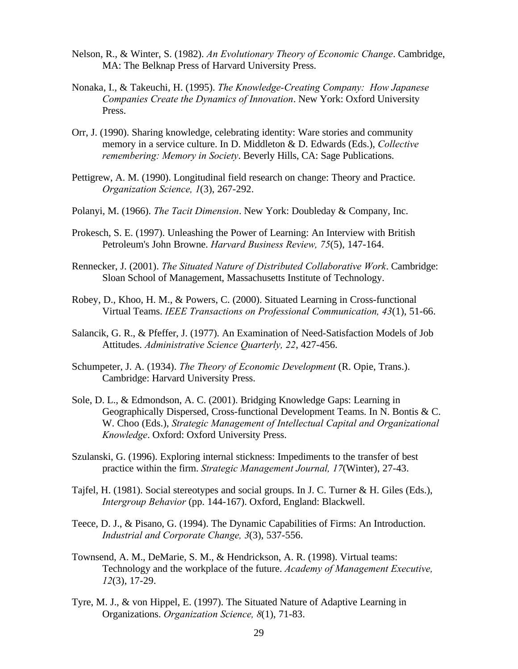- Nelson, R., & Winter, S. (1982). *An Evolutionary Theory of Economic Change*. Cambridge, MA: The Belknap Press of Harvard University Press.
- Nonaka, I., & Takeuchi, H. (1995). *The Knowledge-Creating Company: How Japanese Companies Create the Dynamics of Innovation*. New York: Oxford University Press.
- Orr, J. (1990). Sharing knowledge, celebrating identity: Ware stories and community memory in a service culture. In D. Middleton & D. Edwards (Eds.), *Collective remembering: Memory in Society*. Beverly Hills, CA: Sage Publications.
- Pettigrew, A. M. (1990). Longitudinal field research on change: Theory and Practice. *Organization Science, 1*(3), 267-292.
- Polanyi, M. (1966). *The Tacit Dimension*. New York: Doubleday & Company, Inc.
- Prokesch, S. E. (1997). Unleashing the Power of Learning: An Interview with British Petroleum's John Browne. *Harvard Business Review, 75*(5), 147-164.
- Rennecker, J. (2001). *The Situated Nature of Distributed Collaborative Work*. Cambridge: Sloan School of Management, Massachusetts Institute of Technology.
- Robey, D., Khoo, H. M., & Powers, C. (2000). Situated Learning in Cross-functional Virtual Teams. *IEEE Transactions on Professional Communication, 43*(1), 51-66.
- Salancik, G. R., & Pfeffer, J. (1977). An Examination of Need-Satisfaction Models of Job Attitudes. *Administrative Science Quarterly, 22*, 427-456.
- Schumpeter, J. A. (1934). *The Theory of Economic Development* (R. Opie, Trans.). Cambridge: Harvard University Press.
- Sole, D. L., & Edmondson, A. C. (2001). Bridging Knowledge Gaps: Learning in Geographically Dispersed, Cross-functional Development Teams. In N. Bontis & C. W. Choo (Eds.), *Strategic Management of Intellectual Capital and Organizational Knowledge*. Oxford: Oxford University Press.
- Szulanski, G. (1996). Exploring internal stickness: Impediments to the transfer of best practice within the firm. *Strategic Management Journal, 17*(Winter), 27-43.
- Tajfel, H. (1981). Social stereotypes and social groups. In J. C. Turner & H. Giles (Eds.), *Intergroup Behavior* (pp. 144-167). Oxford, England: Blackwell.
- Teece, D. J., & Pisano, G. (1994). The Dynamic Capabilities of Firms: An Introduction. *Industrial and Corporate Change, 3*(3), 537-556.
- Townsend, A. M., DeMarie, S. M., & Hendrickson, A. R. (1998). Virtual teams: Technology and the workplace of the future. *Academy of Management Executive, 12*(3), 17-29.
- Tyre, M. J., & von Hippel, E. (1997). The Situated Nature of Adaptive Learning in Organizations. *Organization Science, 8*(1), 71-83.